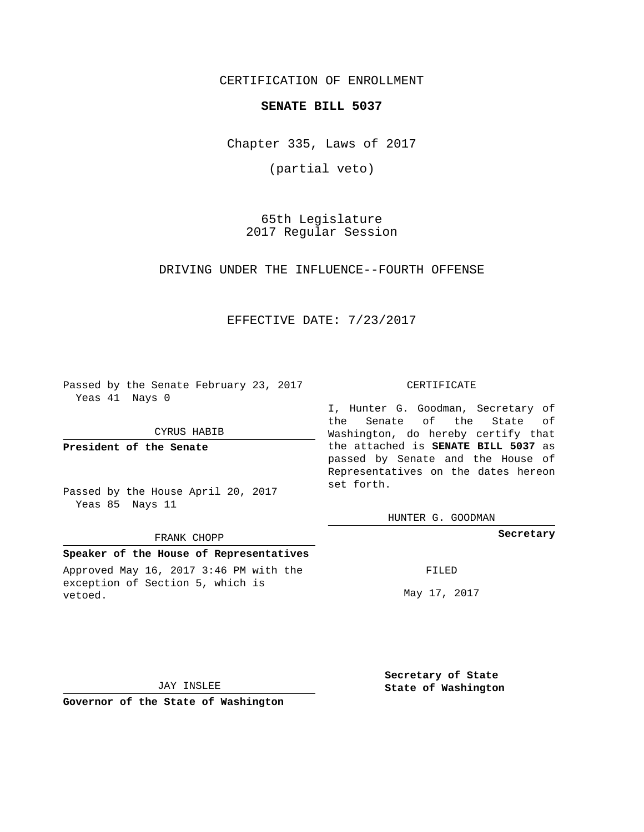CERTIFICATION OF ENROLLMENT

# **SENATE BILL 5037**

Chapter 335, Laws of 2017

(partial veto)

65th Legislature 2017 Regular Session

DRIVING UNDER THE INFLUENCE--FOURTH OFFENSE

# EFFECTIVE DATE: 7/23/2017

Passed by the Senate February 23, 2017 Yeas 41 Nays 0

CYRUS HABIB

**President of the Senate**

Passed by the House April 20, 2017 Yeas 85 Nays 11

#### FRANK CHOPP

# **Speaker of the House of Representatives**

Approved May 16, 2017 3:46 PM with the exception of Section 5, which is vetoed.

CERTIFICATE

I, Hunter G. Goodman, Secretary of the Senate of the State of Washington, do hereby certify that the attached is **SENATE BILL 5037** as passed by Senate and the House of Representatives on the dates hereon set forth.

HUNTER G. GOODMAN

**Secretary**

FILED

May 17, 2017

**Secretary of State**

JAY INSLEE

 **State of Washington**

**Governor of the State of Washington**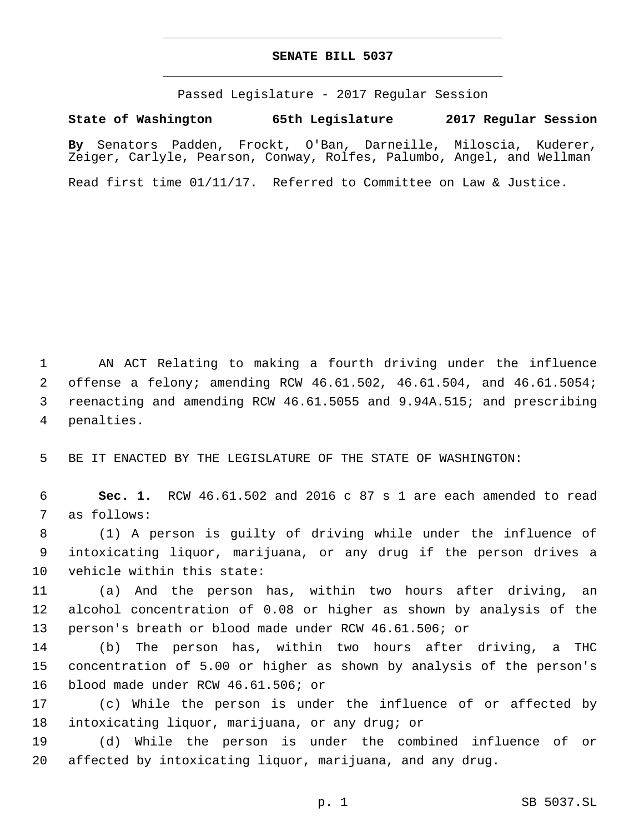# **SENATE BILL 5037**

Passed Legislature - 2017 Regular Session

**State of Washington 65th Legislature 2017 Regular Session By** Senators Padden, Frockt, O'Ban, Darneille, Miloscia, Kuderer, Zeiger, Carlyle, Pearson, Conway, Rolfes, Palumbo, Angel, and Wellman

Read first time 01/11/17. Referred to Committee on Law & Justice.

 AN ACT Relating to making a fourth driving under the influence offense a felony; amending RCW 46.61.502, 46.61.504, and 46.61.5054; reenacting and amending RCW 46.61.5055 and 9.94A.515; and prescribing 4 penalties.

5 BE IT ENACTED BY THE LEGISLATURE OF THE STATE OF WASHINGTON:

6 **Sec. 1.** RCW 46.61.502 and 2016 c 87 s 1 are each amended to read 7 as follows:

8 (1) A person is guilty of driving while under the influence of 9 intoxicating liquor, marijuana, or any drug if the person drives a 10 vehicle within this state:

11 (a) And the person has, within two hours after driving, an 12 alcohol concentration of 0.08 or higher as shown by analysis of the 13 person's breath or blood made under RCW 46.61.506; or

14 (b) The person has, within two hours after driving, a THC 15 concentration of 5.00 or higher as shown by analysis of the person's 16 blood made under RCW 46.61.506; or

17 (c) While the person is under the influence of or affected by 18 intoxicating liquor, marijuana, or any drug; or

19 (d) While the person is under the combined influence of or 20 affected by intoxicating liquor, marijuana, and any drug.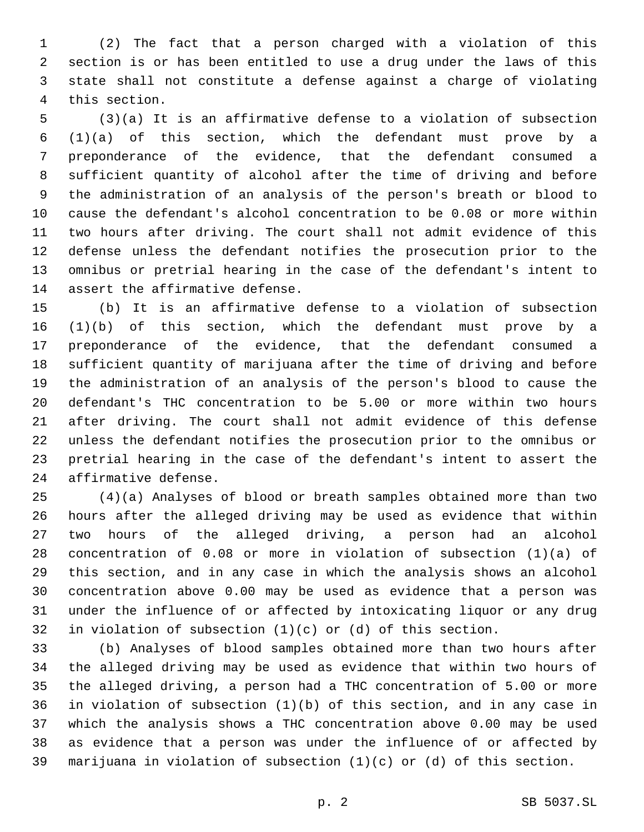(2) The fact that a person charged with a violation of this section is or has been entitled to use a drug under the laws of this state shall not constitute a defense against a charge of violating 4 this section.

 (3)(a) It is an affirmative defense to a violation of subsection (1)(a) of this section, which the defendant must prove by a preponderance of the evidence, that the defendant consumed a sufficient quantity of alcohol after the time of driving and before the administration of an analysis of the person's breath or blood to cause the defendant's alcohol concentration to be 0.08 or more within two hours after driving. The court shall not admit evidence of this defense unless the defendant notifies the prosecution prior to the omnibus or pretrial hearing in the case of the defendant's intent to 14 assert the affirmative defense.

 (b) It is an affirmative defense to a violation of subsection (1)(b) of this section, which the defendant must prove by a preponderance of the evidence, that the defendant consumed a sufficient quantity of marijuana after the time of driving and before the administration of an analysis of the person's blood to cause the defendant's THC concentration to be 5.00 or more within two hours after driving. The court shall not admit evidence of this defense unless the defendant notifies the prosecution prior to the omnibus or pretrial hearing in the case of the defendant's intent to assert the 24 affirmative defense.

 (4)(a) Analyses of blood or breath samples obtained more than two hours after the alleged driving may be used as evidence that within two hours of the alleged driving, a person had an alcohol concentration of 0.08 or more in violation of subsection (1)(a) of this section, and in any case in which the analysis shows an alcohol concentration above 0.00 may be used as evidence that a person was under the influence of or affected by intoxicating liquor or any drug in violation of subsection (1)(c) or (d) of this section.

 (b) Analyses of blood samples obtained more than two hours after the alleged driving may be used as evidence that within two hours of the alleged driving, a person had a THC concentration of 5.00 or more in violation of subsection (1)(b) of this section, and in any case in which the analysis shows a THC concentration above 0.00 may be used as evidence that a person was under the influence of or affected by marijuana in violation of subsection (1)(c) or (d) of this section.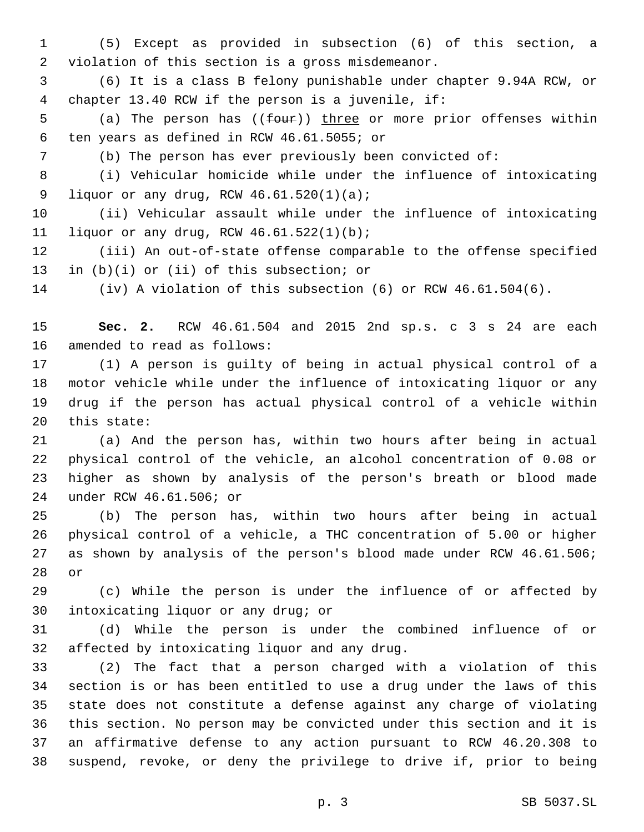(5) Except as provided in subsection (6) of this section, a 2 violation of this section is a gross misdemeanor.

 (6) It is a class B felony punishable under chapter 9.94A RCW, or 4 chapter 13.40 RCW if the person is a juvenile, if:

5 (a) The person has ((four)) three or more prior offenses within ten years as defined in RCW 46.61.5055; or6

(b) The person has ever previously been convicted of:

 (i) Vehicular homicide while under the influence of intoxicating 9 liquor or any drug, RCW  $46.61.520(1)(a)$ ;

 (ii) Vehicular assault while under the influence of intoxicating 11 liquor or any drug, RCW  $46.61.522(1)(b)$ ;

 (iii) An out-of-state offense comparable to the offense specified in  $(b)(i)$  or (ii) of this subsection; or

(iv) A violation of this subsection (6) or RCW 46.61.504(6).

 **Sec. 2.** RCW 46.61.504 and 2015 2nd sp.s. c 3 s 24 are each 16 amended to read as follows:

 (1) A person is guilty of being in actual physical control of a motor vehicle while under the influence of intoxicating liquor or any drug if the person has actual physical control of a vehicle within 20 this state:

 (a) And the person has, within two hours after being in actual physical control of the vehicle, an alcohol concentration of 0.08 or higher as shown by analysis of the person's breath or blood made under RCW 46.61.506; or24

 (b) The person has, within two hours after being in actual physical control of a vehicle, a THC concentration of 5.00 or higher as shown by analysis of the person's blood made under RCW 46.61.506; 28 or

 (c) While the person is under the influence of or affected by 30 intoxicating liquor or any drug; or

 (d) While the person is under the combined influence of or 32 affected by intoxicating liquor and any drug.

 (2) The fact that a person charged with a violation of this section is or has been entitled to use a drug under the laws of this state does not constitute a defense against any charge of violating this section. No person may be convicted under this section and it is an affirmative defense to any action pursuant to RCW 46.20.308 to suspend, revoke, or deny the privilege to drive if, prior to being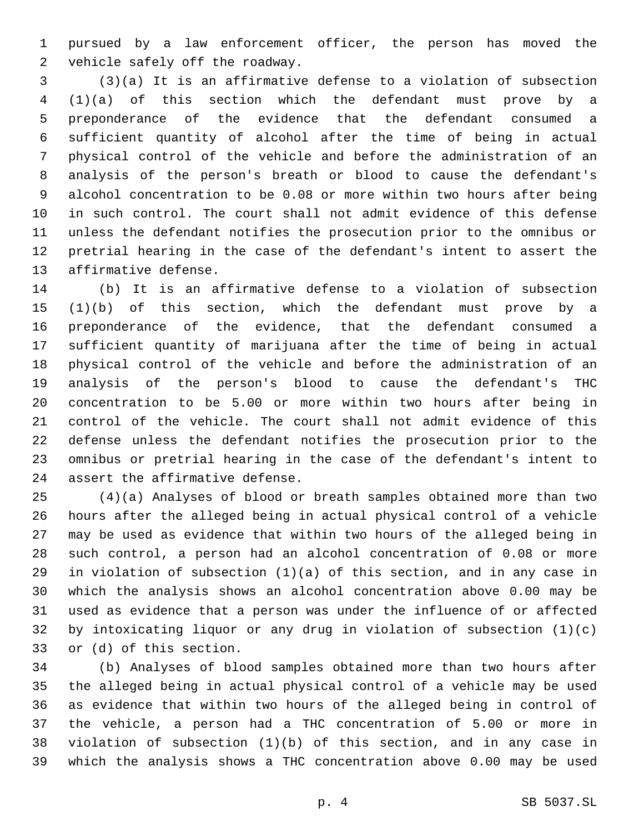pursued by a law enforcement officer, the person has moved the 2 vehicle safely off the roadway.

 (3)(a) It is an affirmative defense to a violation of subsection (1)(a) of this section which the defendant must prove by a preponderance of the evidence that the defendant consumed a sufficient quantity of alcohol after the time of being in actual physical control of the vehicle and before the administration of an analysis of the person's breath or blood to cause the defendant's alcohol concentration to be 0.08 or more within two hours after being in such control. The court shall not admit evidence of this defense unless the defendant notifies the prosecution prior to the omnibus or pretrial hearing in the case of the defendant's intent to assert the 13 affirmative defense.

 (b) It is an affirmative defense to a violation of subsection (1)(b) of this section, which the defendant must prove by a preponderance of the evidence, that the defendant consumed a sufficient quantity of marijuana after the time of being in actual physical control of the vehicle and before the administration of an analysis of the person's blood to cause the defendant's THC concentration to be 5.00 or more within two hours after being in control of the vehicle. The court shall not admit evidence of this defense unless the defendant notifies the prosecution prior to the omnibus or pretrial hearing in the case of the defendant's intent to 24 assert the affirmative defense.

 (4)(a) Analyses of blood or breath samples obtained more than two hours after the alleged being in actual physical control of a vehicle may be used as evidence that within two hours of the alleged being in such control, a person had an alcohol concentration of 0.08 or more in violation of subsection (1)(a) of this section, and in any case in which the analysis shows an alcohol concentration above 0.00 may be used as evidence that a person was under the influence of or affected by intoxicating liquor or any drug in violation of subsection (1)(c) 33 or (d) of this section.

 (b) Analyses of blood samples obtained more than two hours after the alleged being in actual physical control of a vehicle may be used as evidence that within two hours of the alleged being in control of the vehicle, a person had a THC concentration of 5.00 or more in violation of subsection (1)(b) of this section, and in any case in which the analysis shows a THC concentration above 0.00 may be used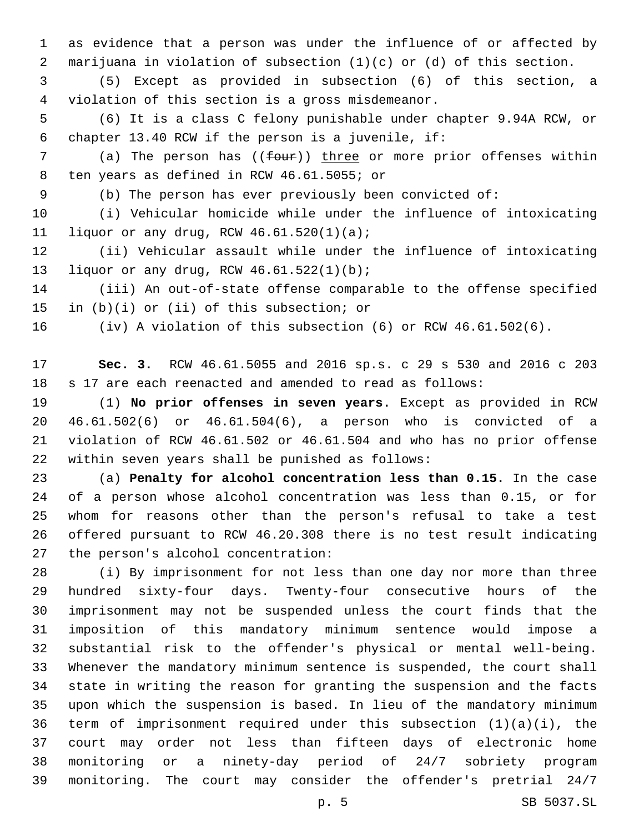as evidence that a person was under the influence of or affected by marijuana in violation of subsection (1)(c) or (d) of this section.

 (5) Except as provided in subsection (6) of this section, a 4 violation of this section is a gross misdemeanor.

 (6) It is a class C felony punishable under chapter 9.94A RCW, or 6 chapter 13.40 RCW if the person is a juvenile, if:

7 (a) The person has (( $f_{\text{our}}$ )) three or more prior offenses within 8 ten years as defined in RCW 46.61.5055; or

(b) The person has ever previously been convicted of:

 (i) Vehicular homicide while under the influence of intoxicating 11 liquor or any drug, RCW  $46.61.520(1)(a)$ ;

 (ii) Vehicular assault while under the influence of intoxicating liquor or any drug, RCW 46.61.522(1)(b);13

 (iii) An out-of-state offense comparable to the offense specified 15 in  $(b)(i)$  or (ii) of this subsection; or

(iv) A violation of this subsection (6) or RCW 46.61.502(6).

 **Sec. 3.** RCW 46.61.5055 and 2016 sp.s. c 29 s 530 and 2016 c 203 s 17 are each reenacted and amended to read as follows:

 (1) **No prior offenses in seven years.** Except as provided in RCW 46.61.502(6) or 46.61.504(6), a person who is convicted of a violation of RCW 46.61.502 or 46.61.504 and who has no prior offense 22 within seven years shall be punished as follows:

 (a) **Penalty for alcohol concentration less than 0.15.** In the case of a person whose alcohol concentration was less than 0.15, or for whom for reasons other than the person's refusal to take a test offered pursuant to RCW 46.20.308 there is no test result indicating 27 the person's alcohol concentration:

 (i) By imprisonment for not less than one day nor more than three hundred sixty-four days. Twenty-four consecutive hours of the imprisonment may not be suspended unless the court finds that the imposition of this mandatory minimum sentence would impose a substantial risk to the offender's physical or mental well-being. Whenever the mandatory minimum sentence is suspended, the court shall state in writing the reason for granting the suspension and the facts upon which the suspension is based. In lieu of the mandatory minimum term of imprisonment required under this subsection (1)(a)(i), the court may order not less than fifteen days of electronic home monitoring or a ninety-day period of 24/7 sobriety program monitoring. The court may consider the offender's pretrial 24/7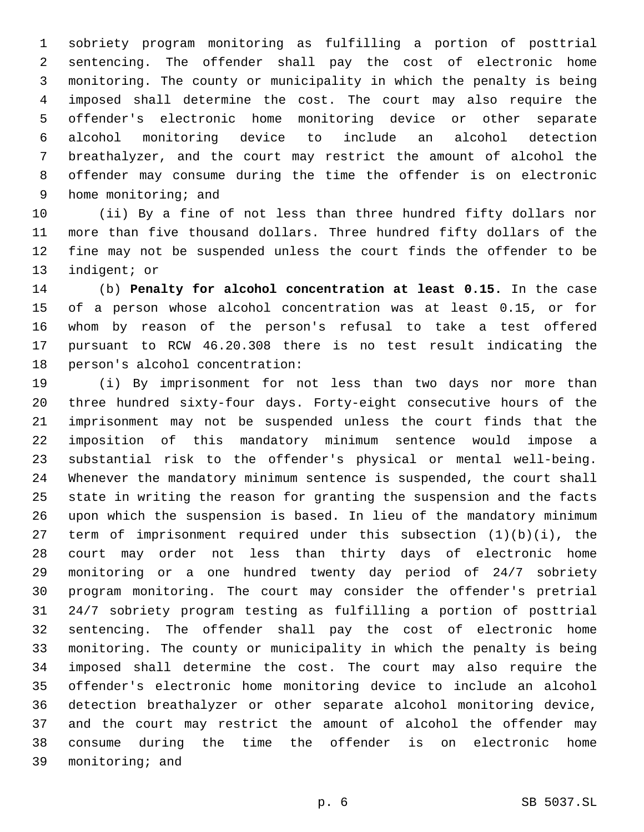sobriety program monitoring as fulfilling a portion of posttrial sentencing. The offender shall pay the cost of electronic home monitoring. The county or municipality in which the penalty is being imposed shall determine the cost. The court may also require the offender's electronic home monitoring device or other separate alcohol monitoring device to include an alcohol detection breathalyzer, and the court may restrict the amount of alcohol the offender may consume during the time the offender is on electronic 9 home monitoring; and

 (ii) By a fine of not less than three hundred fifty dollars nor more than five thousand dollars. Three hundred fifty dollars of the fine may not be suspended unless the court finds the offender to be 13 indigent; or

 (b) **Penalty for alcohol concentration at least 0.15.** In the case of a person whose alcohol concentration was at least 0.15, or for whom by reason of the person's refusal to take a test offered pursuant to RCW 46.20.308 there is no test result indicating the 18 person's alcohol concentration:

 (i) By imprisonment for not less than two days nor more than three hundred sixty-four days. Forty-eight consecutive hours of the imprisonment may not be suspended unless the court finds that the imposition of this mandatory minimum sentence would impose a substantial risk to the offender's physical or mental well-being. Whenever the mandatory minimum sentence is suspended, the court shall state in writing the reason for granting the suspension and the facts upon which the suspension is based. In lieu of the mandatory minimum term of imprisonment required under this subsection (1)(b)(i), the court may order not less than thirty days of electronic home monitoring or a one hundred twenty day period of 24/7 sobriety program monitoring. The court may consider the offender's pretrial 24/7 sobriety program testing as fulfilling a portion of posttrial sentencing. The offender shall pay the cost of electronic home monitoring. The county or municipality in which the penalty is being imposed shall determine the cost. The court may also require the offender's electronic home monitoring device to include an alcohol detection breathalyzer or other separate alcohol monitoring device, and the court may restrict the amount of alcohol the offender may consume during the time the offender is on electronic home 39 monitoring; and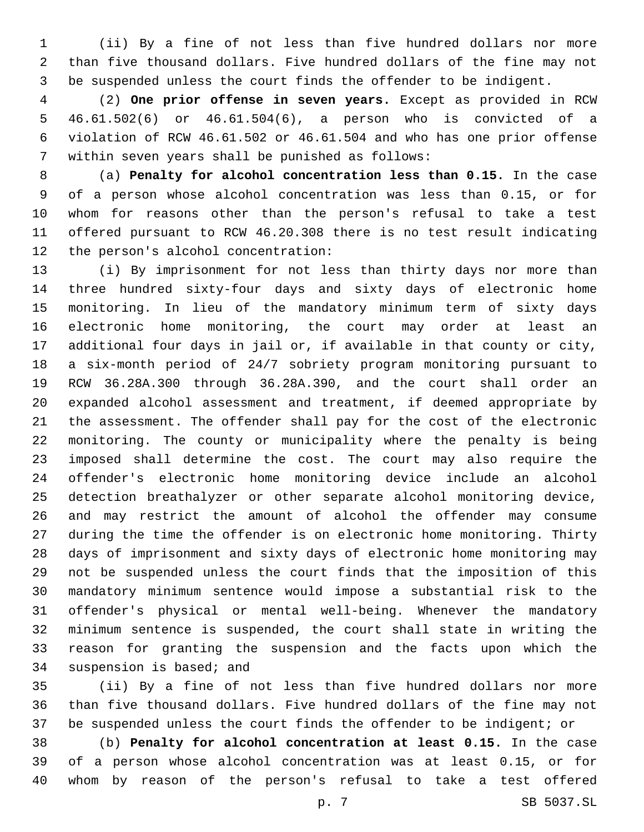(ii) By a fine of not less than five hundred dollars nor more than five thousand dollars. Five hundred dollars of the fine may not be suspended unless the court finds the offender to be indigent.

 (2) **One prior offense in seven years.** Except as provided in RCW 46.61.502(6) or 46.61.504(6), a person who is convicted of a violation of RCW 46.61.502 or 46.61.504 and who has one prior offense 7 within seven years shall be punished as follows:

 (a) **Penalty for alcohol concentration less than 0.15.** In the case of a person whose alcohol concentration was less than 0.15, or for whom for reasons other than the person's refusal to take a test offered pursuant to RCW 46.20.308 there is no test result indicating 12 the person's alcohol concentration:

 (i) By imprisonment for not less than thirty days nor more than three hundred sixty-four days and sixty days of electronic home monitoring. In lieu of the mandatory minimum term of sixty days electronic home monitoring, the court may order at least an additional four days in jail or, if available in that county or city, a six-month period of 24/7 sobriety program monitoring pursuant to RCW 36.28A.300 through 36.28A.390, and the court shall order an expanded alcohol assessment and treatment, if deemed appropriate by the assessment. The offender shall pay for the cost of the electronic monitoring. The county or municipality where the penalty is being imposed shall determine the cost. The court may also require the offender's electronic home monitoring device include an alcohol detection breathalyzer or other separate alcohol monitoring device, and may restrict the amount of alcohol the offender may consume during the time the offender is on electronic home monitoring. Thirty days of imprisonment and sixty days of electronic home monitoring may not be suspended unless the court finds that the imposition of this mandatory minimum sentence would impose a substantial risk to the offender's physical or mental well-being. Whenever the mandatory minimum sentence is suspended, the court shall state in writing the reason for granting the suspension and the facts upon which the 34 suspension is based; and

 (ii) By a fine of not less than five hundred dollars nor more than five thousand dollars. Five hundred dollars of the fine may not be suspended unless the court finds the offender to be indigent; or

 (b) **Penalty for alcohol concentration at least 0.15.** In the case of a person whose alcohol concentration was at least 0.15, or for whom by reason of the person's refusal to take a test offered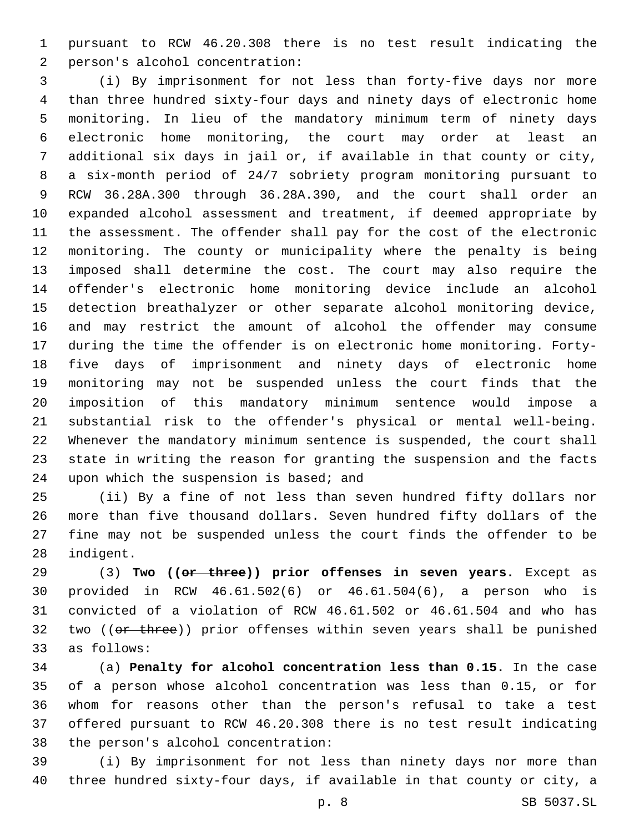pursuant to RCW 46.20.308 there is no test result indicating the person's alcohol concentration:2

 (i) By imprisonment for not less than forty-five days nor more than three hundred sixty-four days and ninety days of electronic home monitoring. In lieu of the mandatory minimum term of ninety days electronic home monitoring, the court may order at least an additional six days in jail or, if available in that county or city, a six-month period of 24/7 sobriety program monitoring pursuant to RCW 36.28A.300 through 36.28A.390, and the court shall order an expanded alcohol assessment and treatment, if deemed appropriate by the assessment. The offender shall pay for the cost of the electronic monitoring. The county or municipality where the penalty is being imposed shall determine the cost. The court may also require the offender's electronic home monitoring device include an alcohol detection breathalyzer or other separate alcohol monitoring device, and may restrict the amount of alcohol the offender may consume during the time the offender is on electronic home monitoring. Forty- five days of imprisonment and ninety days of electronic home monitoring may not be suspended unless the court finds that the imposition of this mandatory minimum sentence would impose a substantial risk to the offender's physical or mental well-being. Whenever the mandatory minimum sentence is suspended, the court shall state in writing the reason for granting the suspension and the facts 24 upon which the suspension is based; and

 (ii) By a fine of not less than seven hundred fifty dollars nor more than five thousand dollars. Seven hundred fifty dollars of the fine may not be suspended unless the court finds the offender to be 28 indigent.

 (3) **Two ((or three)) prior offenses in seven years.** Except as provided in RCW 46.61.502(6) or 46.61.504(6), a person who is convicted of a violation of RCW 46.61.502 or 46.61.504 and who has 32 two ((er three)) prior offenses within seven years shall be punished as follows:33

 (a) **Penalty for alcohol concentration less than 0.15.** In the case of a person whose alcohol concentration was less than 0.15, or for whom for reasons other than the person's refusal to take a test offered pursuant to RCW 46.20.308 there is no test result indicating 38 the person's alcohol concentration:

 (i) By imprisonment for not less than ninety days nor more than three hundred sixty-four days, if available in that county or city, a

p. 8 SB 5037.SL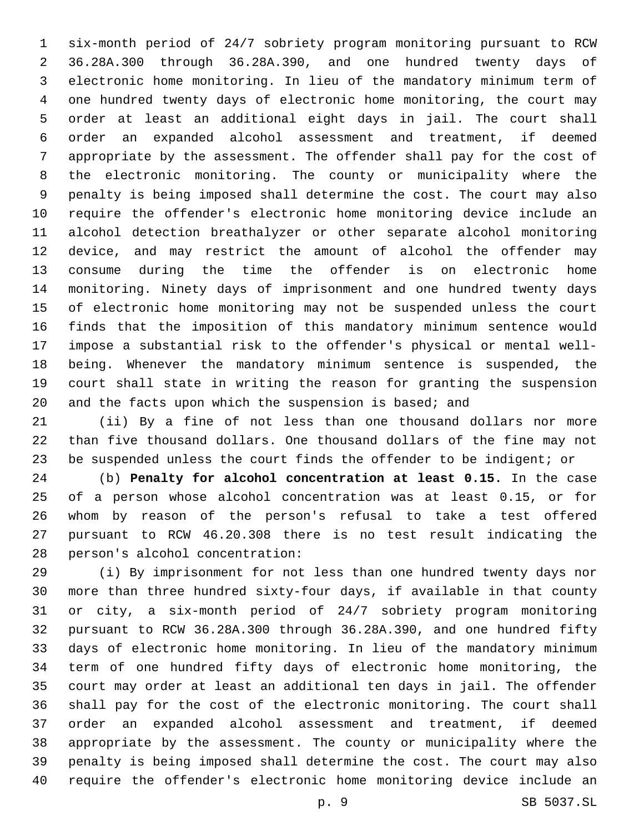six-month period of 24/7 sobriety program monitoring pursuant to RCW 36.28A.300 through 36.28A.390, and one hundred twenty days of electronic home monitoring. In lieu of the mandatory minimum term of one hundred twenty days of electronic home monitoring, the court may order at least an additional eight days in jail. The court shall order an expanded alcohol assessment and treatment, if deemed appropriate by the assessment. The offender shall pay for the cost of the electronic monitoring. The county or municipality where the penalty is being imposed shall determine the cost. The court may also require the offender's electronic home monitoring device include an alcohol detection breathalyzer or other separate alcohol monitoring device, and may restrict the amount of alcohol the offender may consume during the time the offender is on electronic home monitoring. Ninety days of imprisonment and one hundred twenty days of electronic home monitoring may not be suspended unless the court finds that the imposition of this mandatory minimum sentence would impose a substantial risk to the offender's physical or mental well- being. Whenever the mandatory minimum sentence is suspended, the court shall state in writing the reason for granting the suspension 20 and the facts upon which the suspension is based; and

 (ii) By a fine of not less than one thousand dollars nor more than five thousand dollars. One thousand dollars of the fine may not be suspended unless the court finds the offender to be indigent; or

 (b) **Penalty for alcohol concentration at least 0.15.** In the case of a person whose alcohol concentration was at least 0.15, or for whom by reason of the person's refusal to take a test offered pursuant to RCW 46.20.308 there is no test result indicating the 28 person's alcohol concentration:

 (i) By imprisonment for not less than one hundred twenty days nor more than three hundred sixty-four days, if available in that county or city, a six-month period of 24/7 sobriety program monitoring pursuant to RCW 36.28A.300 through 36.28A.390, and one hundred fifty days of electronic home monitoring. In lieu of the mandatory minimum term of one hundred fifty days of electronic home monitoring, the court may order at least an additional ten days in jail. The offender shall pay for the cost of the electronic monitoring. The court shall order an expanded alcohol assessment and treatment, if deemed appropriate by the assessment. The county or municipality where the penalty is being imposed shall determine the cost. The court may also require the offender's electronic home monitoring device include an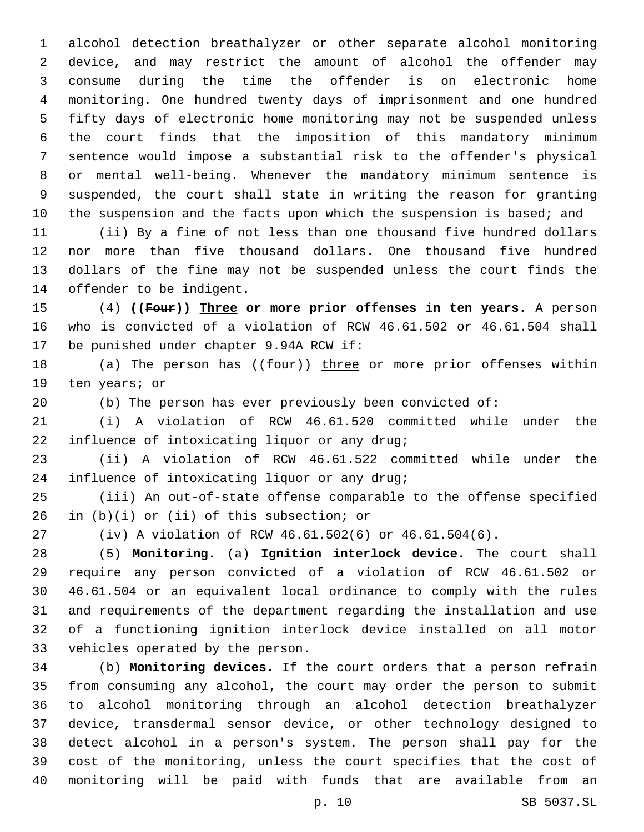alcohol detection breathalyzer or other separate alcohol monitoring device, and may restrict the amount of alcohol the offender may consume during the time the offender is on electronic home monitoring. One hundred twenty days of imprisonment and one hundred fifty days of electronic home monitoring may not be suspended unless the court finds that the imposition of this mandatory minimum sentence would impose a substantial risk to the offender's physical or mental well-being. Whenever the mandatory minimum sentence is suspended, the court shall state in writing the reason for granting 10 the suspension and the facts upon which the suspension is based; and

 (ii) By a fine of not less than one thousand five hundred dollars nor more than five thousand dollars. One thousand five hundred dollars of the fine may not be suspended unless the court finds the 14 offender to be indigent.

 (4) **((Four)) Three or more prior offenses in ten years.** A person who is convicted of a violation of RCW 46.61.502 or 46.61.504 shall 17 be punished under chapter 9.94A RCW if:

18 (a) The person has ((four)) three or more prior offenses within 19 ten years; or

(b) The person has ever previously been convicted of:

 (i) A violation of RCW 46.61.520 committed while under the 22 influence of intoxicating liquor or any drug;

 (ii) A violation of RCW 46.61.522 committed while under the 24 influence of intoxicating liquor or any drug;

 (iii) An out-of-state offense comparable to the offense specified in (b)(i) or (ii) of this subsection; or

(iv) A violation of RCW 46.61.502(6) or 46.61.504(6).

 (5) **Monitoring.** (a) **Ignition interlock device.** The court shall require any person convicted of a violation of RCW 46.61.502 or 46.61.504 or an equivalent local ordinance to comply with the rules and requirements of the department regarding the installation and use of a functioning ignition interlock device installed on all motor 33 vehicles operated by the person.

 (b) **Monitoring devices.** If the court orders that a person refrain from consuming any alcohol, the court may order the person to submit to alcohol monitoring through an alcohol detection breathalyzer device, transdermal sensor device, or other technology designed to detect alcohol in a person's system. The person shall pay for the cost of the monitoring, unless the court specifies that the cost of monitoring will be paid with funds that are available from an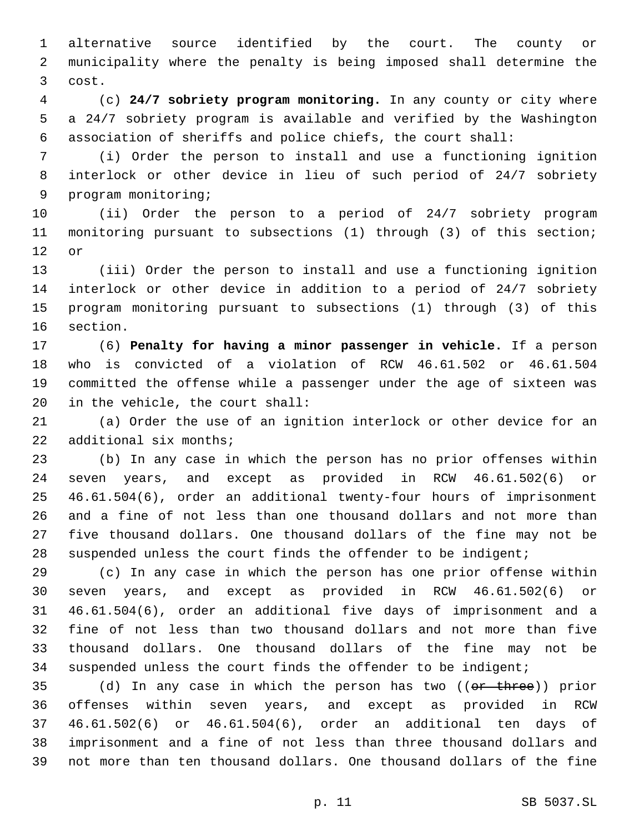alternative source identified by the court. The county or municipality where the penalty is being imposed shall determine the 3 cost.

 (c) **24/7 sobriety program monitoring.** In any county or city where a 24/7 sobriety program is available and verified by the Washington association of sheriffs and police chiefs, the court shall:

 (i) Order the person to install and use a functioning ignition interlock or other device in lieu of such period of 24/7 sobriety 9 program monitoring;

 (ii) Order the person to a period of 24/7 sobriety program monitoring pursuant to subsections (1) through (3) of this section; 12 or

 (iii) Order the person to install and use a functioning ignition interlock or other device in addition to a period of 24/7 sobriety program monitoring pursuant to subsections (1) through (3) of this 16 section.

 (6) **Penalty for having a minor passenger in vehicle.** If a person who is convicted of a violation of RCW 46.61.502 or 46.61.504 committed the offense while a passenger under the age of sixteen was 20 in the vehicle, the court shall:

 (a) Order the use of an ignition interlock or other device for an 22 additional six months;

 (b) In any case in which the person has no prior offenses within seven years, and except as provided in RCW 46.61.502(6) or 46.61.504(6), order an additional twenty-four hours of imprisonment and a fine of not less than one thousand dollars and not more than five thousand dollars. One thousand dollars of the fine may not be suspended unless the court finds the offender to be indigent;

 (c) In any case in which the person has one prior offense within seven years, and except as provided in RCW 46.61.502(6) or 46.61.504(6), order an additional five days of imprisonment and a fine of not less than two thousand dollars and not more than five thousand dollars. One thousand dollars of the fine may not be suspended unless the court finds the offender to be indigent;

35 (d) In any case in which the person has two ((or three)) prior offenses within seven years, and except as provided in RCW 46.61.502(6) or 46.61.504(6), order an additional ten days of imprisonment and a fine of not less than three thousand dollars and not more than ten thousand dollars. One thousand dollars of the fine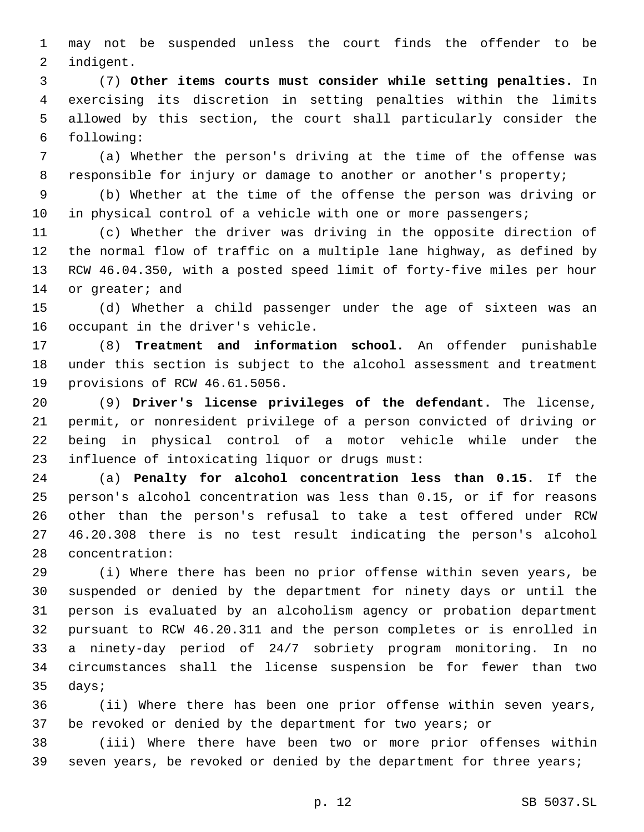may not be suspended unless the court finds the offender to be 2 indigent.

 (7) **Other items courts must consider while setting penalties.** In exercising its discretion in setting penalties within the limits allowed by this section, the court shall particularly consider the following:6

 (a) Whether the person's driving at the time of the offense was responsible for injury or damage to another or another's property;

 (b) Whether at the time of the offense the person was driving or 10 in physical control of a vehicle with one or more passengers;

 (c) Whether the driver was driving in the opposite direction of the normal flow of traffic on a multiple lane highway, as defined by RCW 46.04.350, with a posted speed limit of forty-five miles per hour 14 or greater; and

 (d) Whether a child passenger under the age of sixteen was an 16 occupant in the driver's vehicle.

 (8) **Treatment and information school.** An offender punishable under this section is subject to the alcohol assessment and treatment 19 provisions of RCW 46.61.5056.

 (9) **Driver's license privileges of the defendant.** The license, permit, or nonresident privilege of a person convicted of driving or being in physical control of a motor vehicle while under the 23 influence of intoxicating liquor or drugs must:

 (a) **Penalty for alcohol concentration less than 0.15.** If the person's alcohol concentration was less than 0.15, or if for reasons other than the person's refusal to take a test offered under RCW 46.20.308 there is no test result indicating the person's alcohol 28 concentration:

 (i) Where there has been no prior offense within seven years, be suspended or denied by the department for ninety days or until the person is evaluated by an alcoholism agency or probation department pursuant to RCW 46.20.311 and the person completes or is enrolled in a ninety-day period of 24/7 sobriety program monitoring. In no circumstances shall the license suspension be for fewer than two 35 days;

 (ii) Where there has been one prior offense within seven years, be revoked or denied by the department for two years; or

 (iii) Where there have been two or more prior offenses within seven years, be revoked or denied by the department for three years;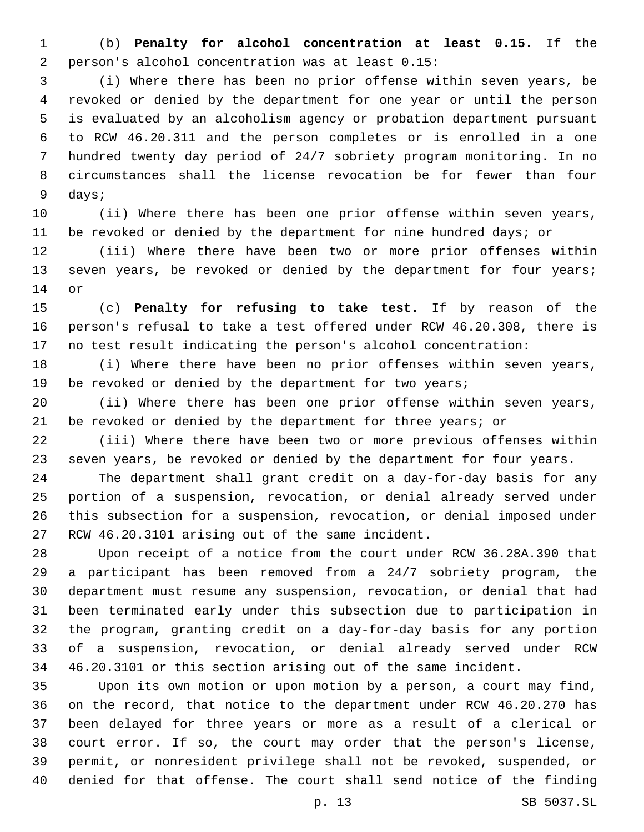(b) **Penalty for alcohol concentration at least 0.15.** If the 2 person's alcohol concentration was at least 0.15:

 (i) Where there has been no prior offense within seven years, be revoked or denied by the department for one year or until the person is evaluated by an alcoholism agency or probation department pursuant to RCW 46.20.311 and the person completes or is enrolled in a one hundred twenty day period of 24/7 sobriety program monitoring. In no circumstances shall the license revocation be for fewer than four 9 days;

 (ii) Where there has been one prior offense within seven years, be revoked or denied by the department for nine hundred days; or

 (iii) Where there have been two or more prior offenses within 13 seven years, be revoked or denied by the department for four years; 14 or

 (c) **Penalty for refusing to take test.** If by reason of the person's refusal to take a test offered under RCW 46.20.308, there is no test result indicating the person's alcohol concentration:

 (i) Where there have been no prior offenses within seven years, 19 be revoked or denied by the department for two years;

 (ii) Where there has been one prior offense within seven years, 21 be revoked or denied by the department for three years; or

 (iii) Where there have been two or more previous offenses within seven years, be revoked or denied by the department for four years.

 The department shall grant credit on a day-for-day basis for any portion of a suspension, revocation, or denial already served under this subsection for a suspension, revocation, or denial imposed under 27 RCW 46.20.3101 arising out of the same incident.

 Upon receipt of a notice from the court under RCW 36.28A.390 that a participant has been removed from a 24/7 sobriety program, the department must resume any suspension, revocation, or denial that had been terminated early under this subsection due to participation in the program, granting credit on a day-for-day basis for any portion of a suspension, revocation, or denial already served under RCW 46.20.3101 or this section arising out of the same incident.

 Upon its own motion or upon motion by a person, a court may find, on the record, that notice to the department under RCW 46.20.270 has been delayed for three years or more as a result of a clerical or court error. If so, the court may order that the person's license, permit, or nonresident privilege shall not be revoked, suspended, or denied for that offense. The court shall send notice of the finding

p. 13 SB 5037.SL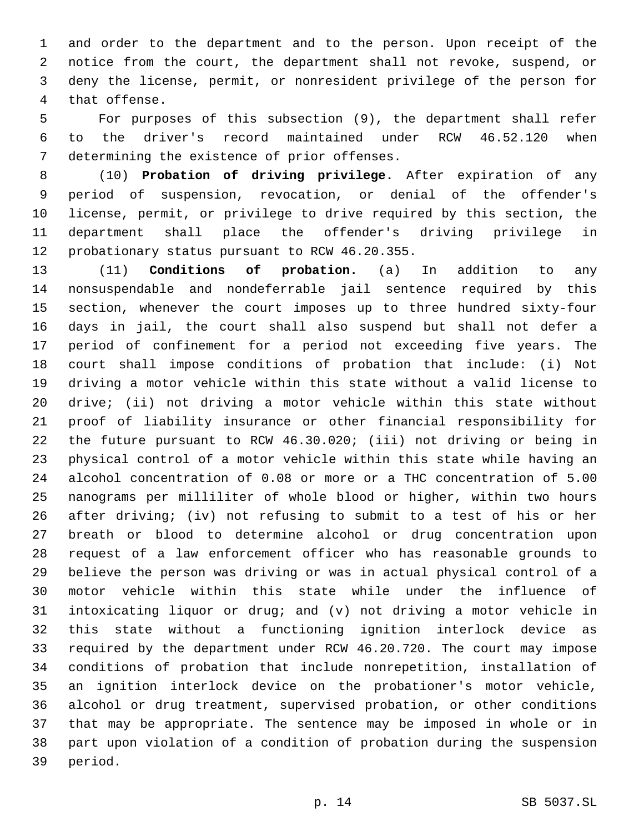and order to the department and to the person. Upon receipt of the notice from the court, the department shall not revoke, suspend, or deny the license, permit, or nonresident privilege of the person for 4 that offense.

 For purposes of this subsection (9), the department shall refer to the driver's record maintained under RCW 46.52.120 when 7 determining the existence of prior offenses.

 (10) **Probation of driving privilege.** After expiration of any period of suspension, revocation, or denial of the offender's license, permit, or privilege to drive required by this section, the department shall place the offender's driving privilege in 12 probationary status pursuant to RCW 46.20.355.

 (11) **Conditions of probation.** (a) In addition to any nonsuspendable and nondeferrable jail sentence required by this section, whenever the court imposes up to three hundred sixty-four days in jail, the court shall also suspend but shall not defer a period of confinement for a period not exceeding five years. The court shall impose conditions of probation that include: (i) Not driving a motor vehicle within this state without a valid license to drive; (ii) not driving a motor vehicle within this state without proof of liability insurance or other financial responsibility for the future pursuant to RCW 46.30.020; (iii) not driving or being in physical control of a motor vehicle within this state while having an alcohol concentration of 0.08 or more or a THC concentration of 5.00 nanograms per milliliter of whole blood or higher, within two hours after driving; (iv) not refusing to submit to a test of his or her breath or blood to determine alcohol or drug concentration upon request of a law enforcement officer who has reasonable grounds to believe the person was driving or was in actual physical control of a motor vehicle within this state while under the influence of intoxicating liquor or drug; and (v) not driving a motor vehicle in this state without a functioning ignition interlock device as required by the department under RCW 46.20.720. The court may impose conditions of probation that include nonrepetition, installation of an ignition interlock device on the probationer's motor vehicle, alcohol or drug treatment, supervised probation, or other conditions that may be appropriate. The sentence may be imposed in whole or in part upon violation of a condition of probation during the suspension 39 period.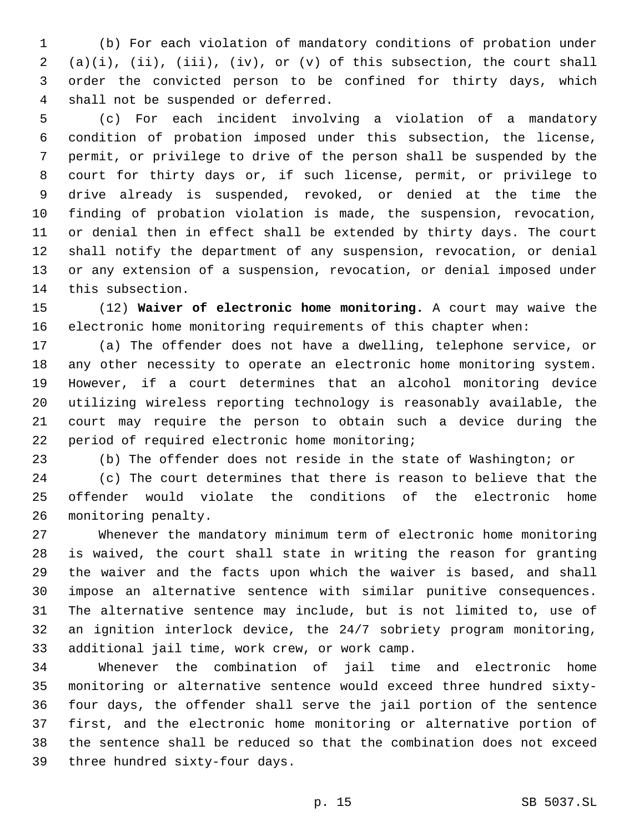(b) For each violation of mandatory conditions of probation under (a)(i), (ii), (iii), (iv), or (v) of this subsection, the court shall order the convicted person to be confined for thirty days, which 4 shall not be suspended or deferred.

 (c) For each incident involving a violation of a mandatory condition of probation imposed under this subsection, the license, permit, or privilege to drive of the person shall be suspended by the court for thirty days or, if such license, permit, or privilege to drive already is suspended, revoked, or denied at the time the finding of probation violation is made, the suspension, revocation, or denial then in effect shall be extended by thirty days. The court shall notify the department of any suspension, revocation, or denial or any extension of a suspension, revocation, or denial imposed under 14 this subsection.

 (12) **Waiver of electronic home monitoring.** A court may waive the electronic home monitoring requirements of this chapter when:

 (a) The offender does not have a dwelling, telephone service, or any other necessity to operate an electronic home monitoring system. However, if a court determines that an alcohol monitoring device utilizing wireless reporting technology is reasonably available, the court may require the person to obtain such a device during the 22 period of required electronic home monitoring;

(b) The offender does not reside in the state of Washington; or

 (c) The court determines that there is reason to believe that the offender would violate the conditions of the electronic home 26 monitoring penalty.

 Whenever the mandatory minimum term of electronic home monitoring is waived, the court shall state in writing the reason for granting the waiver and the facts upon which the waiver is based, and shall impose an alternative sentence with similar punitive consequences. The alternative sentence may include, but is not limited to, use of an ignition interlock device, the 24/7 sobriety program monitoring, 33 additional jail time, work crew, or work camp.

 Whenever the combination of jail time and electronic home monitoring or alternative sentence would exceed three hundred sixty- four days, the offender shall serve the jail portion of the sentence first, and the electronic home monitoring or alternative portion of the sentence shall be reduced so that the combination does not exceed 39 three hundred sixty-four days.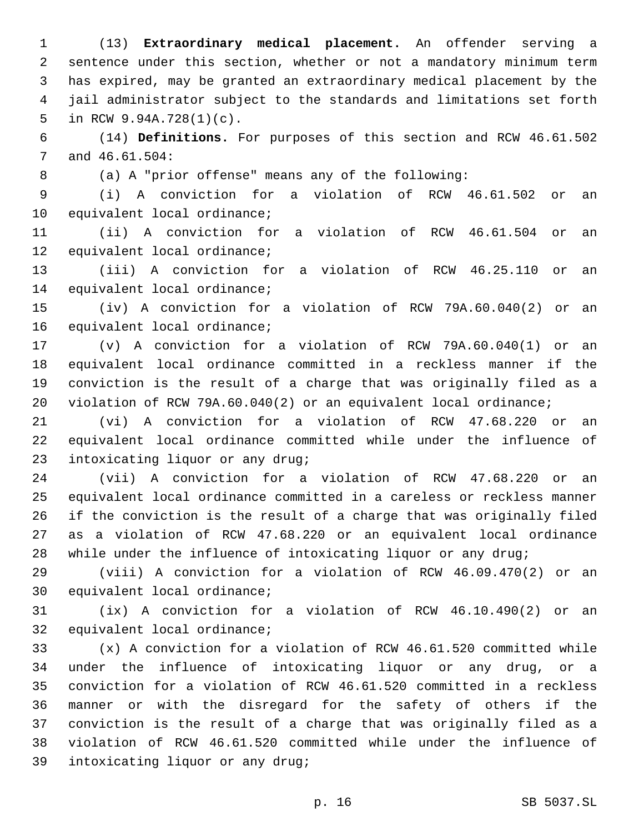(13) **Extraordinary medical placement.** An offender serving a sentence under this section, whether or not a mandatory minimum term has expired, may be granted an extraordinary medical placement by the jail administrator subject to the standards and limitations set forth 5 in RCW  $9.94A.728(1)(c)$ .

 (14) **Definitions.** For purposes of this section and RCW 46.61.502 7 and  $46.61.504$ :

(a) A "prior offense" means any of the following:

 (i) A conviction for a violation of RCW 46.61.502 or an 10 equivalent local ordinance;

 (ii) A conviction for a violation of RCW 46.61.504 or an 12 equivalent local ordinance;

 (iii) A conviction for a violation of RCW 46.25.110 or an 14 equivalent local ordinance;

 (iv) A conviction for a violation of RCW 79A.60.040(2) or an 16 equivalent local ordinance;

 (v) A conviction for a violation of RCW 79A.60.040(1) or an equivalent local ordinance committed in a reckless manner if the conviction is the result of a charge that was originally filed as a violation of RCW 79A.60.040(2) or an equivalent local ordinance;

 (vi) A conviction for a violation of RCW 47.68.220 or an equivalent local ordinance committed while under the influence of 23 intoxicating liquor or any drug;

 (vii) A conviction for a violation of RCW 47.68.220 or an equivalent local ordinance committed in a careless or reckless manner if the conviction is the result of a charge that was originally filed as a violation of RCW 47.68.220 or an equivalent local ordinance while under the influence of intoxicating liquor or any drug;

 (viii) A conviction for a violation of RCW 46.09.470(2) or an 30 equivalent local ordinance;

 (ix) A conviction for a violation of RCW 46.10.490(2) or an 32 equivalent local ordinance;

 (x) A conviction for a violation of RCW 46.61.520 committed while under the influence of intoxicating liquor or any drug, or a conviction for a violation of RCW 46.61.520 committed in a reckless manner or with the disregard for the safety of others if the conviction is the result of a charge that was originally filed as a violation of RCW 46.61.520 committed while under the influence of 39 intoxicating liquor or any drug;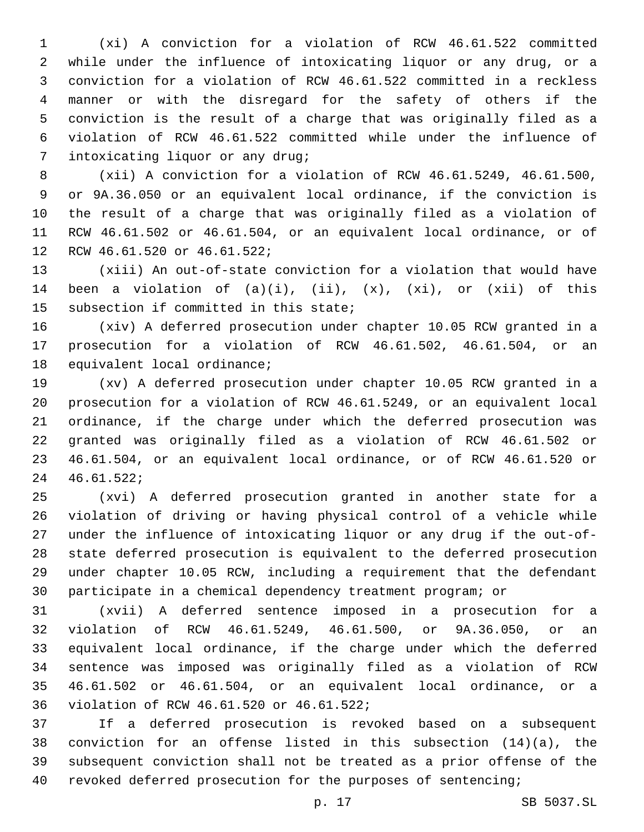(xi) A conviction for a violation of RCW 46.61.522 committed while under the influence of intoxicating liquor or any drug, or a conviction for a violation of RCW 46.61.522 committed in a reckless manner or with the disregard for the safety of others if the conviction is the result of a charge that was originally filed as a violation of RCW 46.61.522 committed while under the influence of 7 intoxicating liquor or any drug;

 (xii) A conviction for a violation of RCW 46.61.5249, 46.61.500, or 9A.36.050 or an equivalent local ordinance, if the conviction is the result of a charge that was originally filed as a violation of RCW 46.61.502 or 46.61.504, or an equivalent local ordinance, or of 12 RCW 46.61.520 or 46.61.522;

 (xiii) An out-of-state conviction for a violation that would have 14 been a violation of  $(a)(i)$ ,  $(ii)$ ,  $(x)$ ,  $(xi)$ , or  $(xii)$  of this 15 subsection if committed in this state;

 (xiv) A deferred prosecution under chapter 10.05 RCW granted in a prosecution for a violation of RCW 46.61.502, 46.61.504, or an 18 equivalent local ordinance;

 (xv) A deferred prosecution under chapter 10.05 RCW granted in a prosecution for a violation of RCW 46.61.5249, or an equivalent local ordinance, if the charge under which the deferred prosecution was granted was originally filed as a violation of RCW 46.61.502 or 46.61.504, or an equivalent local ordinance, or of RCW 46.61.520 or 46.61.522;24

 (xvi) A deferred prosecution granted in another state for a violation of driving or having physical control of a vehicle while under the influence of intoxicating liquor or any drug if the out-of- state deferred prosecution is equivalent to the deferred prosecution under chapter 10.05 RCW, including a requirement that the defendant participate in a chemical dependency treatment program; or

 (xvii) A deferred sentence imposed in a prosecution for a violation of RCW 46.61.5249, 46.61.500, or 9A.36.050, or an equivalent local ordinance, if the charge under which the deferred sentence was imposed was originally filed as a violation of RCW 46.61.502 or 46.61.504, or an equivalent local ordinance, or a 36 violation of RCW 46.61.520 or 46.61.522;

 If a deferred prosecution is revoked based on a subsequent conviction for an offense listed in this subsection (14)(a), the subsequent conviction shall not be treated as a prior offense of the revoked deferred prosecution for the purposes of sentencing;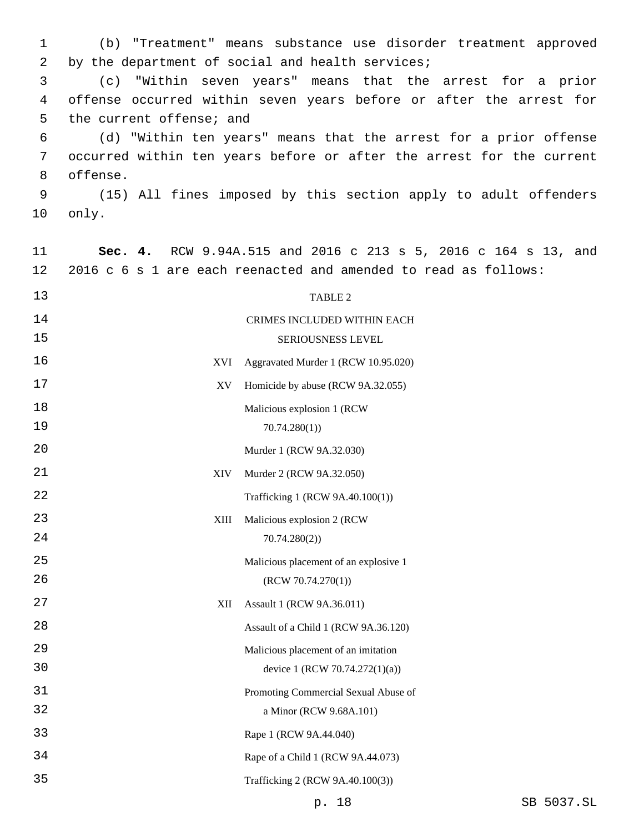(b) "Treatment" means substance use disorder treatment approved 2 by the department of social and health services;

 (c) "Within seven years" means that the arrest for a prior offense occurred within seven years before or after the arrest for 5 the current offense; and

 (d) "Within ten years" means that the arrest for a prior offense occurred within ten years before or after the arrest for the current 8 offense.

 (15) All fines imposed by this section apply to adult offenders 10 only.

| 11 | Sec.<br>4. | RCW 9.94A.515 and 2016 c 213 s 5, 2016 c 164 s 13, and          |
|----|------------|-----------------------------------------------------------------|
| 12 |            | 2016 c 6 s 1 are each reenacted and amended to read as follows: |
| 13 |            | TABLE 2                                                         |
| 14 |            | CRIMES INCLUDED WITHIN EACH                                     |
| 15 |            | SERIOUSNESS LEVEL                                               |
| 16 | XVI        | Aggravated Murder 1 (RCW 10.95.020)                             |
| 17 | XV         | Homicide by abuse (RCW 9A.32.055)                               |
| 18 |            | Malicious explosion 1 (RCW                                      |
| 19 |            | 70.74.280(1)                                                    |
| 20 |            | Murder 1 (RCW 9A.32.030)                                        |
| 21 | <b>XIV</b> | Murder 2 (RCW 9A.32.050)                                        |
| 22 |            | Trafficking 1 (RCW 9A.40.100(1))                                |
| 23 | XIII       | Malicious explosion 2 (RCW                                      |
| 24 |            | 70.74.280(2)                                                    |
| 25 |            | Malicious placement of an explosive 1                           |
| 26 |            | (RCW 70.74.270(1))                                              |
| 27 | XII        | Assault 1 (RCW 9A.36.011)                                       |
| 28 |            | Assault of a Child 1 (RCW 9A.36.120)                            |
| 29 |            | Malicious placement of an imitation                             |
| 30 |            | device 1 (RCW 70.74.272(1)(a))                                  |
| 31 |            | Promoting Commercial Sexual Abuse of                            |
| 32 |            | a Minor (RCW 9.68A.101)                                         |
| 33 |            | Rape 1 (RCW 9A.44.040)                                          |
| 34 |            | Rape of a Child 1 (RCW 9A.44.073)                               |
| 35 |            | Trafficking 2 (RCW 9A.40.100(3))                                |
|    |            |                                                                 |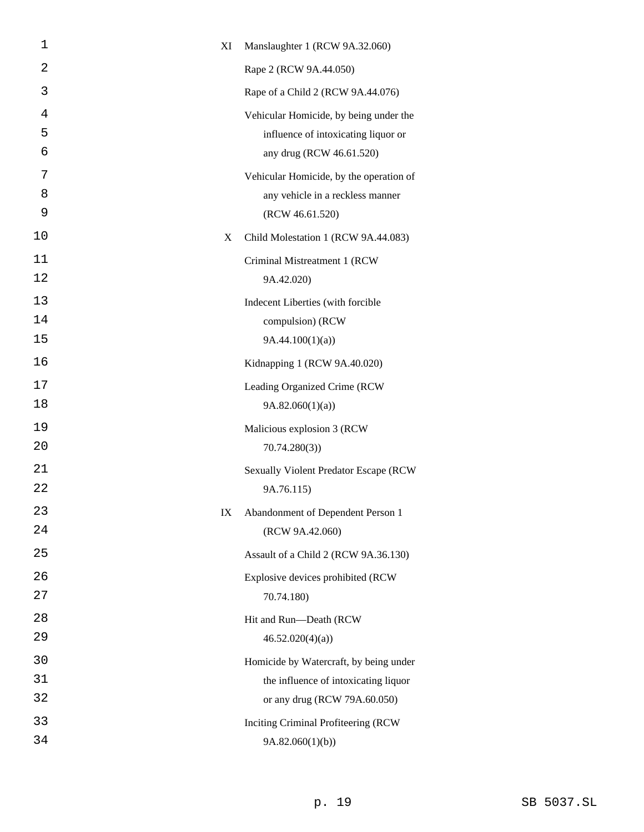| 1              | XI | Manslaughter 1 (RCW 9A.32.060)                                                                                 |
|----------------|----|----------------------------------------------------------------------------------------------------------------|
| 2              |    | Rape 2 (RCW 9A.44.050)                                                                                         |
| 3              |    | Rape of a Child 2 (RCW 9A.44.076)                                                                              |
| 4<br>5<br>6    |    | Vehicular Homicide, by being under the<br>influence of intoxicating liquor or<br>any drug (RCW 46.61.520)      |
| 7<br>8<br>9    |    | Vehicular Homicide, by the operation of<br>any vehicle in a reckless manner<br>(RCW 46.61.520)                 |
| 10             | X  | Child Molestation 1 (RCW 9A.44.083)                                                                            |
| 11<br>12       |    | Criminal Mistreatment 1 (RCW<br>9A.42.020)                                                                     |
| 13<br>14<br>15 |    | Indecent Liberties (with forcible<br>compulsion) (RCW<br>9A.44.100(1)(a)                                       |
| 16             |    | Kidnapping 1 (RCW 9A.40.020)                                                                                   |
| 17<br>18       |    | Leading Organized Crime (RCW<br>9A.82.060(1)(a)                                                                |
| 19<br>20       |    | Malicious explosion 3 (RCW<br>70.74.280(3)                                                                     |
| 21<br>22       |    | <b>Sexually Violent Predator Escape (RCW</b><br>9A.76.115)                                                     |
| 23<br>24       | IX | Abandonment of Dependent Person 1<br>(RCW 9A.42.060)                                                           |
| 25             |    | Assault of a Child 2 (RCW 9A.36.130)                                                                           |
| 26<br>27       |    | Explosive devices prohibited (RCW<br>70.74.180)                                                                |
| 28<br>29       |    | Hit and Run-Death (RCW<br>46.52.020(4)(a)                                                                      |
| 30<br>31<br>32 |    | Homicide by Watercraft, by being under<br>the influence of intoxicating liquor<br>or any drug (RCW 79A.60.050) |
| 33<br>34       |    | Inciting Criminal Profiteering (RCW)<br>9A.82.060(1)(b)                                                        |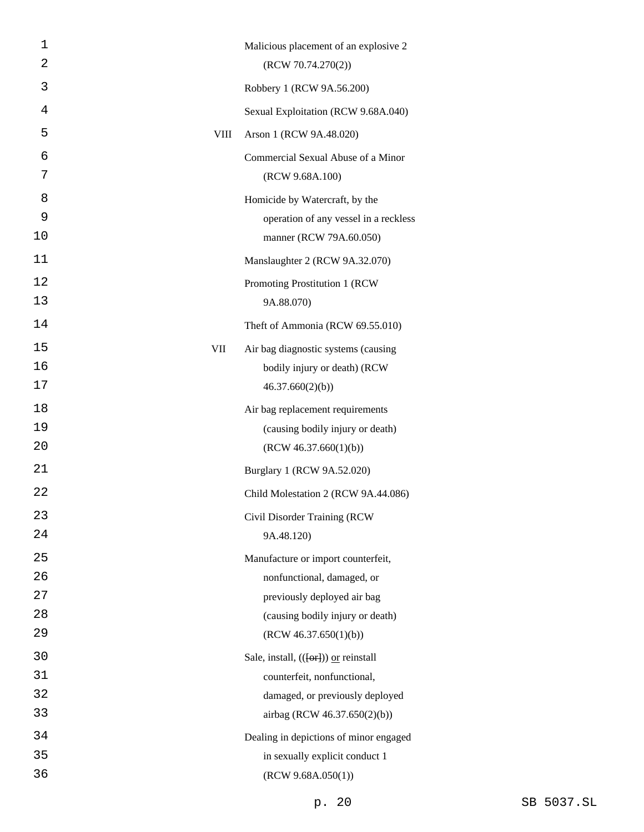| 1  |             | Malicious placement of an explosive 2                    |
|----|-------------|----------------------------------------------------------|
| 2  |             | (RCW 70.74.270(2))                                       |
| 3  |             | Robbery 1 (RCW 9A.56.200)                                |
| 4  |             | Sexual Exploitation (RCW 9.68A.040)                      |
| 5  | <b>VIII</b> | Arson 1 (RCW 9A.48.020)                                  |
| 6  |             | Commercial Sexual Abuse of a Minor                       |
| 7  |             | (RCW 9.68A.100)                                          |
| 8  |             | Homicide by Watercraft, by the                           |
| 9  |             | operation of any vessel in a reckless                    |
| 10 |             | manner (RCW 79A.60.050)                                  |
| 11 |             | Manslaughter 2 (RCW 9A.32.070)                           |
| 12 |             | Promoting Prostitution 1 (RCW                            |
| 13 |             | 9A.88.070)                                               |
| 14 |             | Theft of Ammonia (RCW 69.55.010)                         |
| 15 | VII         | Air bag diagnostic systems (causing                      |
| 16 |             | bodily injury or death) (RCW                             |
| 17 |             | 46.37.660(2)(b)                                          |
| 18 |             | Air bag replacement requirements                         |
| 19 |             | (causing bodily injury or death)                         |
| 20 |             | (RCW 46.37.660(1)(b))                                    |
| 21 |             | Burglary 1 (RCW 9A.52.020)                               |
| 22 |             | Child Molestation 2 (RCW 9A.44.086)                      |
| 23 |             | Civil Disorder Training (RCW                             |
| 24 |             | 9A.48.120)                                               |
| 25 |             | Manufacture or import counterfeit,                       |
| 26 |             | nonfunctional, damaged, or                               |
| 27 |             | previously deployed air bag                              |
| 28 |             | (causing bodily injury or death)                         |
| 29 |             | (RCW 46.37.650(1)(b))                                    |
| 30 |             | Sale, install, $((\overline{[\text{or}]}))$ or reinstall |
| 31 |             | counterfeit, nonfunctional,                              |
| 32 |             | damaged, or previously deployed                          |
| 33 |             | airbag (RCW 46.37.650(2)(b))                             |
| 34 |             | Dealing in depictions of minor engaged                   |
| 35 |             | in sexually explicit conduct 1                           |
| 36 |             | (RCW 9.68A.050(1))                                       |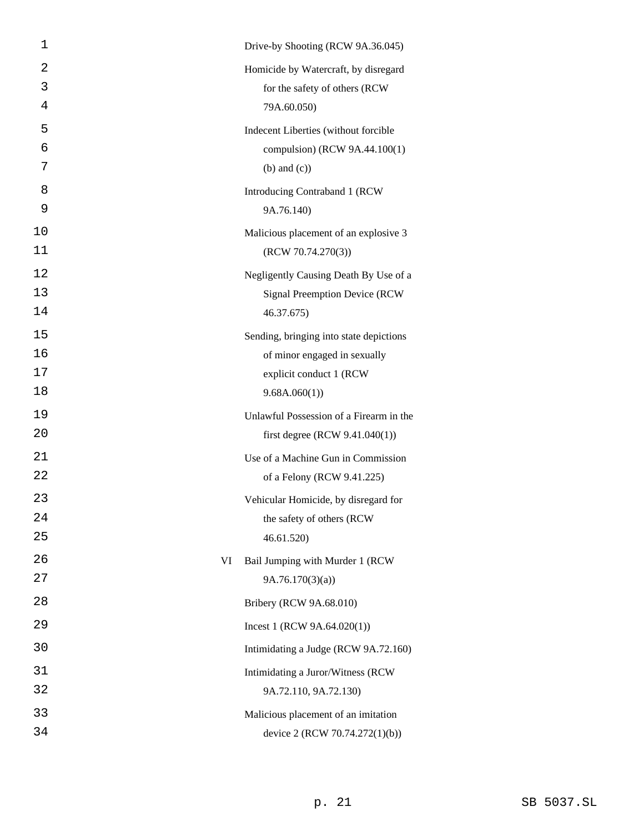| 1        | Drive-by Shooting (RCW 9A.36.045)       |
|----------|-----------------------------------------|
| 2        | Homicide by Watercraft, by disregard    |
| 3        | for the safety of others (RCW           |
| 4        | 79A.60.050)                             |
| 5        | Indecent Liberties (without forcible    |
| 6        | compulsion) (RCW 9A.44.100(1)           |
| 7        | $(b)$ and $(c)$ )                       |
| 8        | Introducing Contraband 1 (RCW           |
| 9        | 9A.76.140)                              |
| 10       | Malicious placement of an explosive 3   |
| 11       | (RCW 70.74.270(3))                      |
| 12       | Negligently Causing Death By Use of a   |
| 13       | <b>Signal Preemption Device (RCW)</b>   |
| 14       | 46.37.675)                              |
| 15       | Sending, bringing into state depictions |
| 16<br>17 | of minor engaged in sexually            |
| 18       | explicit conduct 1 (RCW<br>9.68A.060(1) |
| 19       | Unlawful Possession of a Firearm in the |
| 20       | first degree (RCW $9.41.040(1)$ )       |
| 21       | Use of a Machine Gun in Commission      |
| 22       | of a Felony (RCW 9.41.225)              |
| 23       | Vehicular Homicide, by disregard for    |
| 24       | the safety of others (RCW               |
| 25       | 46.61.520)                              |
| 26       | VI<br>Bail Jumping with Murder 1 (RCW   |
| 27       | 9A.76.170(3)(a)                         |
| 28       | Bribery (RCW 9A.68.010)                 |
| 29       | Incest 1 (RCW $9A.64.020(1)$ )          |
| 30       | Intimidating a Judge (RCW 9A.72.160)    |
| 31       | Intimidating a Juror/Witness (RCW       |
| 32       | 9A.72.110, 9A.72.130)                   |
| 33       | Malicious placement of an imitation     |
| 34       | device 2 (RCW 70.74.272(1)(b))          |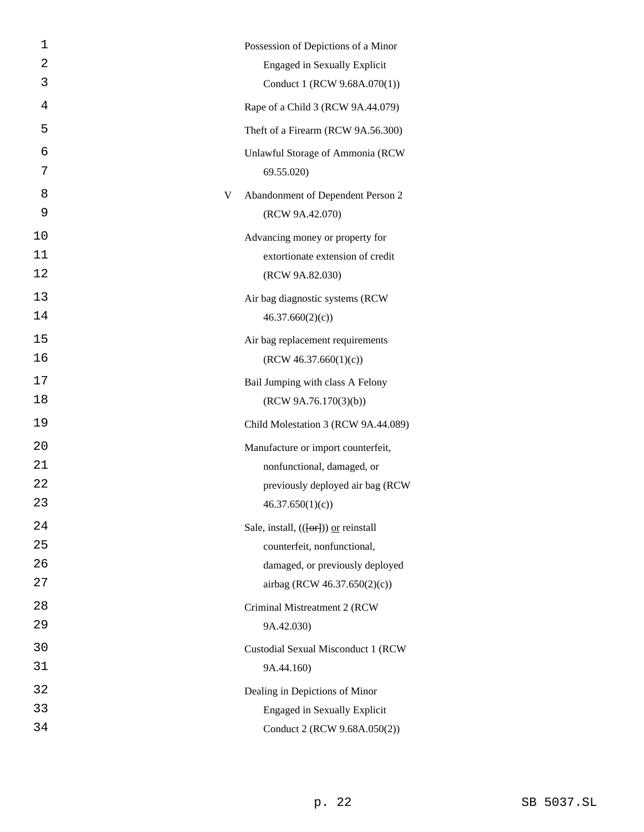| 1  |   | Possession of Depictions of a Minor                     |
|----|---|---------------------------------------------------------|
| 2  |   | <b>Engaged in Sexually Explicit</b>                     |
| 3  |   | Conduct 1 (RCW 9.68A.070(1))                            |
| 4  |   | Rape of a Child 3 (RCW 9A.44.079)                       |
| 5  |   | Theft of a Firearm (RCW 9A.56.300)                      |
| 6  |   | Unlawful Storage of Ammonia (RCW                        |
| 7  |   | 69.55.020)                                              |
| 8  | V | Abandonment of Dependent Person 2                       |
| 9  |   | (RCW 9A.42.070)                                         |
| 10 |   | Advancing money or property for                         |
| 11 |   | extortionate extension of credit                        |
| 12 |   | (RCW 9A.82.030)                                         |
| 13 |   | Air bag diagnostic systems (RCW                         |
| 14 |   | 46.37.660(2)(c)                                         |
| 15 |   | Air bag replacement requirements                        |
| 16 |   | (RCW 46.37.660(1)(c))                                   |
| 17 |   | Bail Jumping with class A Felony                        |
| 18 |   | (RCW 9A.76.170(3)(b))                                   |
| 19 |   | Child Molestation 3 (RCW 9A.44.089)                     |
| 20 |   | Manufacture or import counterfeit,                      |
| 21 |   | nonfunctional, damaged, or                              |
| 22 |   | previously deployed air bag (RCW                        |
| 23 |   | 46.37.650(1)(c)                                         |
| 24 |   | Sale, install, $((\overline{\text{ter}}))$ or reinstall |
| 25 |   | counterfeit, nonfunctional,                             |
| 26 |   | damaged, or previously deployed                         |
| 27 |   | airbag (RCW 46.37.650(2)(c))                            |
| 28 |   | Criminal Mistreatment 2 (RCW                            |
| 29 |   | 9A.42.030)                                              |
| 30 |   | Custodial Sexual Misconduct 1 (RCW                      |
| 31 |   | 9A.44.160)                                              |
| 32 |   | Dealing in Depictions of Minor                          |
| 33 |   | <b>Engaged in Sexually Explicit</b>                     |
| 34 |   | Conduct 2 (RCW 9.68A.050(2))                            |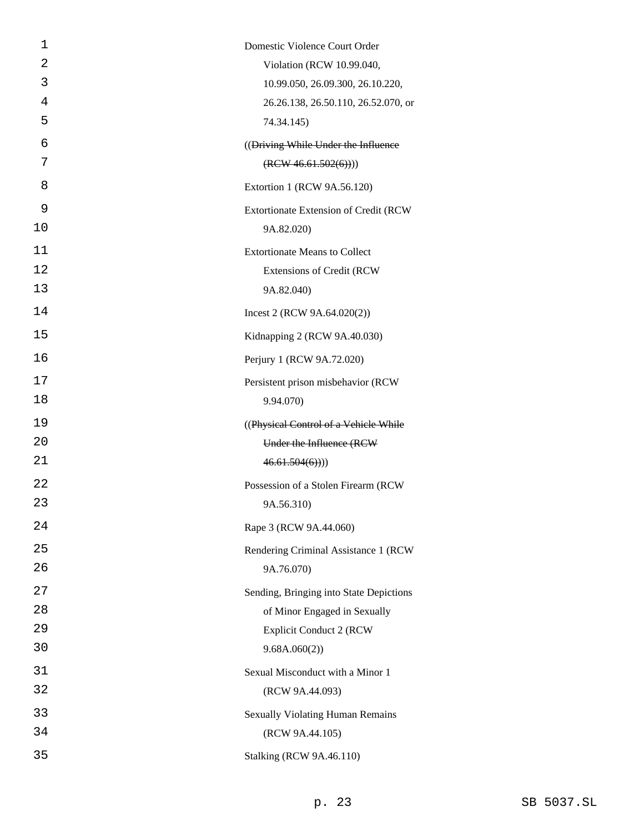| 1  | Domestic Violence Court Order           |
|----|-----------------------------------------|
| 2  | Violation (RCW 10.99.040,               |
| 3  | 10.99.050, 26.09.300, 26.10.220,        |
| 4  | 26.26.138, 26.50.110, 26.52.070, or     |
| 5  | 74.34.145)                              |
| 6  | ((Driving While Under the Influence     |
| 7  | (REW 46.61.502(6))))                    |
| 8  | Extortion 1 (RCW 9A.56.120)             |
| 9  | Extortionate Extension of Credit (RCW   |
| 10 | 9A.82.020)                              |
| 11 | <b>Extortionate Means to Collect</b>    |
| 12 | <b>Extensions of Credit (RCW)</b>       |
| 13 | 9A.82.040)                              |
| 14 | Incest 2 (RCW $9A.64.020(2)$ )          |
| 15 | Kidnapping 2 (RCW 9A.40.030)            |
| 16 | Perjury 1 (RCW 9A.72.020)               |
| 17 | Persistent prison misbehavior (RCW      |
| 18 | 9.94.070)                               |
| 19 | ((Physical Control of a Vehicle While)  |
| 20 | Under the Influence (RCW                |
| 21 | 46.61.504(6))                           |
| 22 | Possession of a Stolen Firearm (RCW     |
| 23 | 9A.56.310)                              |
| 24 | Rape 3 (RCW 9A.44.060)                  |
| 25 | Rendering Criminal Assistance 1 (RCW    |
| 26 | 9A.76.070)                              |
| 27 | Sending, Bringing into State Depictions |
| 28 | of Minor Engaged in Sexually            |
| 29 | <b>Explicit Conduct 2 (RCW</b>          |
| 30 | 9.68A.060(2))                           |
| 31 | Sexual Misconduct with a Minor 1        |
| 32 | (RCW 9A.44.093)                         |
| 33 | <b>Sexually Violating Human Remains</b> |
| 34 | (RCW 9A.44.105)                         |
| 35 | <b>Stalking (RCW 9A.46.110)</b>         |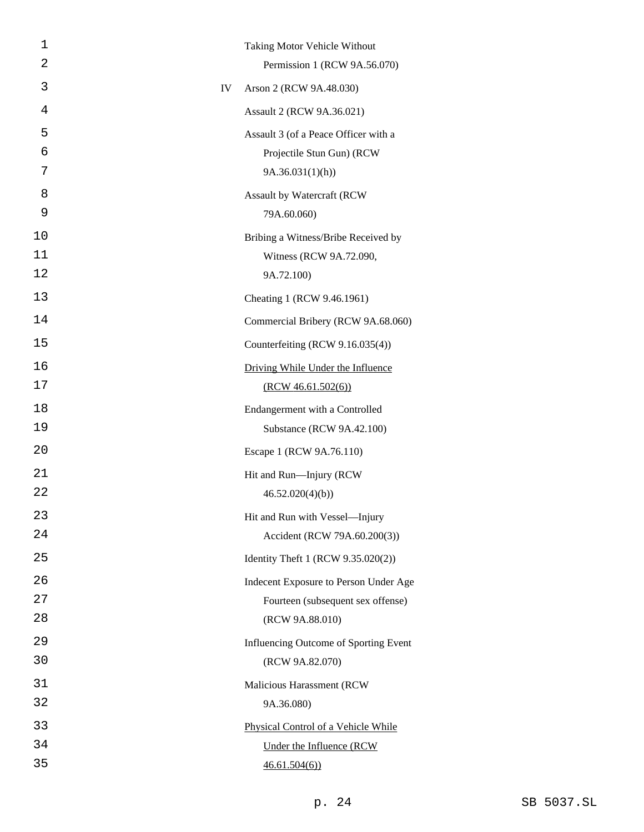| 1  |    | Taking Motor Vehicle Without          |
|----|----|---------------------------------------|
| 2  |    | Permission 1 (RCW 9A.56.070)          |
| 3  | IV | Arson 2 (RCW 9A.48.030)               |
| 4  |    | Assault 2 (RCW 9A.36.021)             |
| 5  |    | Assault 3 (of a Peace Officer with a  |
| 6  |    | Projectile Stun Gun) (RCW             |
| 7  |    | 9A.36.031(1)(h)                       |
| 8  |    | Assault by Watercraft (RCW            |
| 9  |    | 79A.60.060)                           |
| 10 |    | Bribing a Witness/Bribe Received by   |
| 11 |    | Witness (RCW 9A.72.090,               |
| 12 |    | 9A.72.100)                            |
| 13 |    | Cheating 1 (RCW 9.46.1961)            |
| 14 |    | Commercial Bribery (RCW 9A.68.060)    |
| 15 |    | Counterfeiting (RCW 9.16.035(4))      |
| 16 |    | Driving While Under the Influence     |
| 17 |    | (RCW 46.61.502(6))                    |
| 18 |    | Endangerment with a Controlled        |
| 19 |    | Substance (RCW 9A.42.100)             |
| 20 |    | Escape 1 (RCW 9A.76.110)              |
| 21 |    | Hit and Run-Injury (RCW               |
| 22 |    | 46.52.020(4)(b)                       |
| 23 |    | Hit and Run with Vessel-Injury        |
| 24 |    | Accident (RCW 79A.60.200(3))          |
| 25 |    | Identity Theft 1 (RCW 9.35.020(2))    |
| 26 |    | Indecent Exposure to Person Under Age |
| 27 |    | Fourteen (subsequent sex offense)     |
| 28 |    | (RCW 9A.88.010)                       |
| 29 |    | Influencing Outcome of Sporting Event |
| 30 |    | (RCW 9A.82.070)                       |
| 31 |    | Malicious Harassment (RCW             |
| 32 |    | 9A.36.080)                            |
| 33 |    | Physical Control of a Vehicle While   |
| 34 |    | Under the Influence (RCW              |
| 35 |    | 46.61.504(6)                          |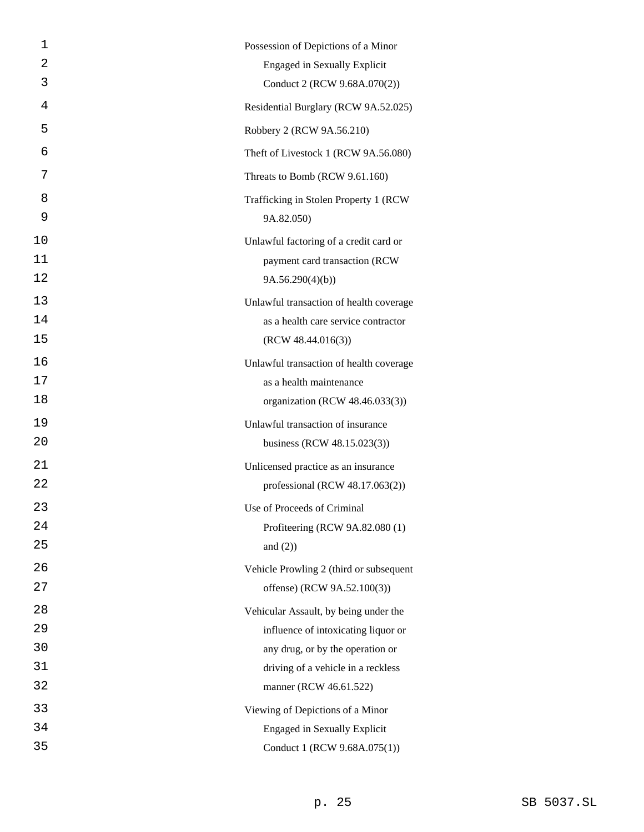| 1  | Possession of Depictions of a Minor     |
|----|-----------------------------------------|
| 2  | <b>Engaged in Sexually Explicit</b>     |
| 3  | Conduct 2 (RCW 9.68A.070(2))            |
| 4  | Residential Burglary (RCW 9A.52.025)    |
| 5  | Robbery 2 (RCW 9A.56.210)               |
| 6  | Theft of Livestock 1 (RCW 9A.56.080)    |
| 7  | Threats to Bomb (RCW 9.61.160)          |
| 8  | Trafficking in Stolen Property 1 (RCW   |
| 9  | 9A.82.050)                              |
| 10 | Unlawful factoring of a credit card or  |
| 11 | payment card transaction (RCW           |
| 12 | 9A.56.290(4)(b)                         |
| 13 | Unlawful transaction of health coverage |
| 14 | as a health care service contractor     |
| 15 | (RCW 48.44.016(3))                      |
| 16 | Unlawful transaction of health coverage |
| 17 | as a health maintenance                 |
| 18 | organization (RCW 48.46.033(3))         |
| 19 | Unlawful transaction of insurance       |
| 20 | business (RCW 48.15.023(3))             |
| 21 | Unlicensed practice as an insurance     |
| 22 | professional (RCW 48.17.063(2))         |
| 23 | Use of Proceeds of Criminal             |
| 24 | Profiteering (RCW 9A.82.080 (1)         |
| 25 | and $(2)$ )                             |
| 26 | Vehicle Prowling 2 (third or subsequent |
| 27 | offense) (RCW 9A.52.100(3))             |
| 28 | Vehicular Assault, by being under the   |
| 29 | influence of intoxicating liquor or     |
| 30 | any drug, or by the operation or        |
| 31 | driving of a vehicle in a reckless      |
| 32 | manner (RCW 46.61.522)                  |
| 33 | Viewing of Depictions of a Minor        |
| 34 | <b>Engaged in Sexually Explicit</b>     |
| 35 | Conduct 1 (RCW 9.68A.075(1))            |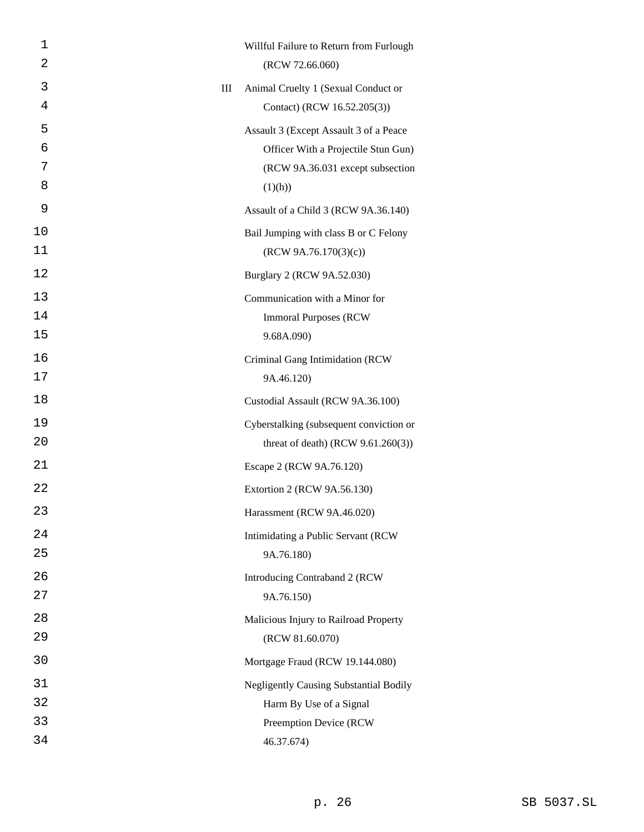| 1  |   | Willful Failure to Return from Furlough       |
|----|---|-----------------------------------------------|
| 2  |   | (RCW 72.66.060)                               |
| 3  | Ш | Animal Cruelty 1 (Sexual Conduct or           |
| 4  |   | Contact) (RCW 16.52.205(3))                   |
| 5  |   | Assault 3 (Except Assault 3 of a Peace        |
| 6  |   | Officer With a Projectile Stun Gun)           |
| 7  |   | (RCW 9A.36.031 except subsection              |
| 8  |   | (1)(h))                                       |
| 9  |   | Assault of a Child 3 (RCW 9A.36.140)          |
| 10 |   | Bail Jumping with class B or C Felony         |
| 11 |   | (RCW 9A.76.170(3)(c))                         |
| 12 |   | Burglary 2 (RCW 9A.52.030)                    |
| 13 |   | Communication with a Minor for                |
| 14 |   | <b>Immoral Purposes (RCW)</b>                 |
| 15 |   | 9.68A.090)                                    |
| 16 |   | Criminal Gang Intimidation (RCW               |
| 17 |   | 9A.46.120)                                    |
| 18 |   | Custodial Assault (RCW 9A.36.100)             |
| 19 |   | Cyberstalking (subsequent conviction or       |
| 20 |   | threat of death) (RCW $9.61.260(3)$ )         |
| 21 |   | Escape 2 (RCW 9A.76.120)                      |
| 22 |   | Extortion 2 (RCW 9A.56.130)                   |
| 23 |   | Harassment (RCW 9A.46.020)                    |
| 24 |   | Intimidating a Public Servant (RCW            |
| 25 |   | 9A.76.180)                                    |
| 26 |   | Introducing Contraband 2 (RCW                 |
| 27 |   | 9A.76.150)                                    |
| 28 |   | Malicious Injury to Railroad Property         |
| 29 |   | (RCW 81.60.070)                               |
| 30 |   | Mortgage Fraud (RCW 19.144.080)               |
| 31 |   | <b>Negligently Causing Substantial Bodily</b> |
| 32 |   | Harm By Use of a Signal                       |
| 33 |   | Preemption Device (RCW                        |
| 34 |   | 46.37.674)                                    |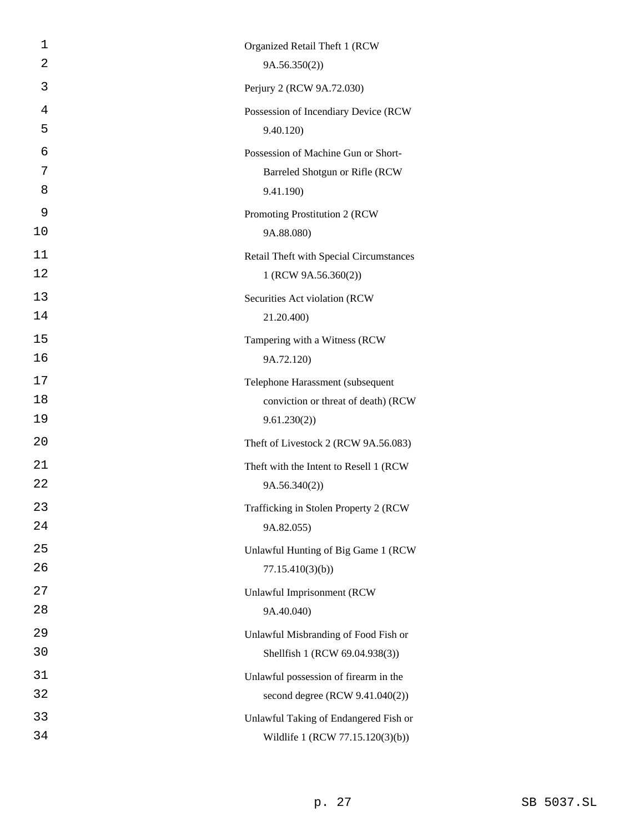| 1  | Organized Retail Theft 1 (RCW           |
|----|-----------------------------------------|
| 2  | 9A.56.350(2)                            |
| 3  | Perjury 2 (RCW 9A.72.030)               |
| 4  | Possession of Incendiary Device (RCW    |
| 5  | 9.40.120)                               |
| 6  | Possession of Machine Gun or Short-     |
| 7  | Barreled Shotgun or Rifle (RCW          |
| 8  | 9.41.190)                               |
| 9  | Promoting Prostitution 2 (RCW           |
| 10 | 9A.88.080)                              |
| 11 | Retail Theft with Special Circumstances |
| 12 | 1 (RCW 9A.56.360(2))                    |
| 13 | Securities Act violation (RCW           |
| 14 | 21.20.400)                              |
| 15 | Tampering with a Witness (RCW           |
| 16 | 9A.72.120)                              |
| 17 | Telephone Harassment (subsequent        |
| 18 | conviction or threat of death) (RCW     |
| 19 | 9.61.230(2)                             |
| 20 | Theft of Livestock 2 (RCW 9A.56.083)    |
| 21 | Theft with the Intent to Resell 1 (RCW  |
| 22 | 9A.56.340(2)                            |
| 23 | Trafficking in Stolen Property 2 (RCW   |
| 24 | 9A.82.055)                              |
| 25 | Unlawful Hunting of Big Game 1 (RCW     |
| 26 | 77.15.410(3)(b)                         |
| 27 | <b>Unlawful Imprisonment (RCW</b>       |
| 28 | 9A.40.040)                              |
| 29 | Unlawful Misbranding of Food Fish or    |
| 30 | Shellfish 1 (RCW 69.04.938(3))          |
| 31 | Unlawful possession of firearm in the   |
| 32 | second degree (RCW 9.41.040(2))         |
| 33 | Unlawful Taking of Endangered Fish or   |
| 34 | Wildlife 1 (RCW 77.15.120(3)(b))        |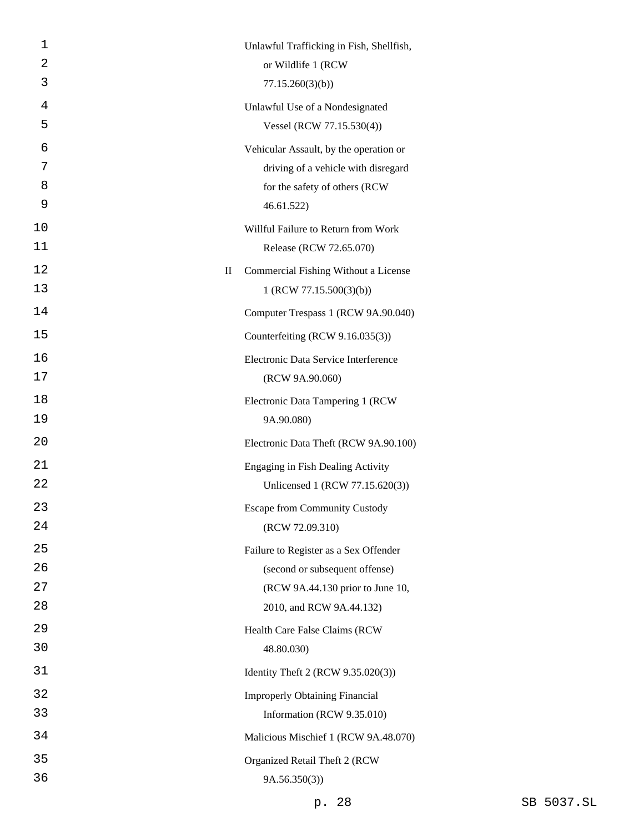| 1              | Unlawful Trafficking in Fish, Shellfish, |
|----------------|------------------------------------------|
| 2              | or Wildlife 1 (RCW                       |
| 3              | 77.15.260(3)(b)                          |
| 4              | Unlawful Use of a Nondesignated          |
| 5              | Vessel (RCW 77.15.530(4))                |
| 6              | Vehicular Assault, by the operation or   |
| 7              | driving of a vehicle with disregard      |
| 8              | for the safety of others (RCW            |
| 9              | 46.61.522)                               |
| 10             | Willful Failure to Return from Work      |
| 11             | Release (RCW 72.65.070)                  |
| 12<br>$\rm II$ | Commercial Fishing Without a License     |
| 13             | 1 (RCW 77.15.500(3)(b))                  |
| 14             | Computer Trespass 1 (RCW 9A.90.040)      |
| 15             | Counterfeiting (RCW 9.16.035(3))         |
| 16             | Electronic Data Service Interference     |
| 17             | (RCW 9A.90.060)                          |
| 18             | Electronic Data Tampering 1 (RCW         |
| 19             | 9A.90.080)                               |
| 20             | Electronic Data Theft (RCW 9A.90.100)    |
| 21             | Engaging in Fish Dealing Activity        |
| 22             | Unlicensed 1 (RCW 77.15.620(3))          |
| 23             | <b>Escape from Community Custody</b>     |
| 24             | (RCW 72.09.310)                          |
| 25             | Failure to Register as a Sex Offender    |
| 26             | (second or subsequent offense)           |
| 27             | (RCW 9A.44.130 prior to June 10,         |
| 28             | 2010, and RCW 9A.44.132)                 |
| 29             | Health Care False Claims (RCW            |
| 30             | 48.80.030)                               |
| 31             | Identity Theft 2 (RCW 9.35.020(3))       |
| 32             | <b>Improperly Obtaining Financial</b>    |
| 33             | Information (RCW 9.35.010)               |
| 34             | Malicious Mischief 1 (RCW 9A.48.070)     |
| 35             | Organized Retail Theft 2 (RCW            |
| 36             | 9A.56.350(3)                             |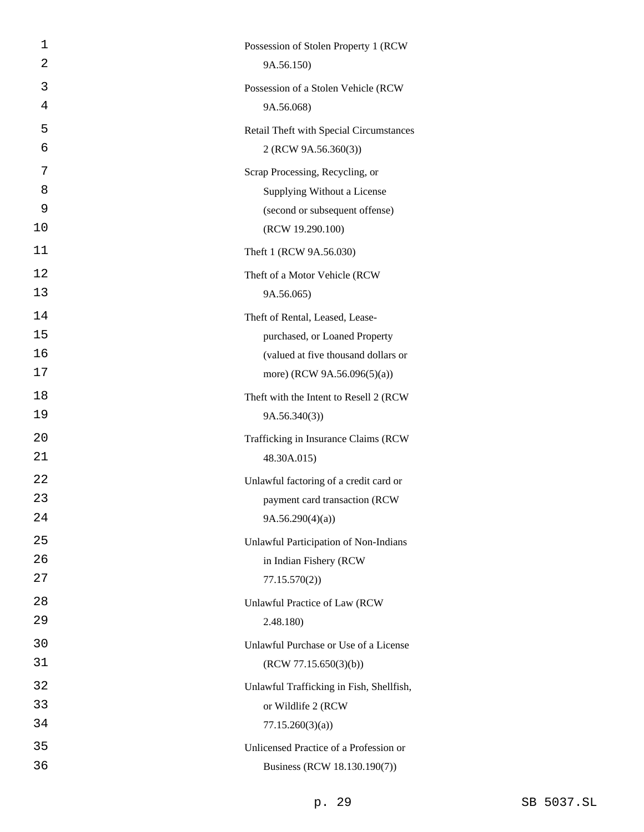| 1  | Possession of Stolen Property 1 (RCW     |
|----|------------------------------------------|
| 2  | 9A.56.150)                               |
| 3  | Possession of a Stolen Vehicle (RCW      |
| 4  | 9A.56.068)                               |
| 5  | Retail Theft with Special Circumstances  |
| 6  | 2 (RCW 9A.56.360(3))                     |
| 7  | Scrap Processing, Recycling, or          |
| 8  | Supplying Without a License              |
| 9  | (second or subsequent offense)           |
| 10 | (RCW 19.290.100)                         |
| 11 | Theft 1 (RCW 9A.56.030)                  |
| 12 | Theft of a Motor Vehicle (RCW            |
| 13 | 9A.56.065)                               |
| 14 | Theft of Rental, Leased, Lease-          |
| 15 | purchased, or Loaned Property            |
| 16 | (valued at five thousand dollars or      |
| 17 | more) (RCW 9A.56.096(5)(a))              |
| 18 | Theft with the Intent to Resell 2 (RCW   |
| 19 | 9A.56.340(3)                             |
| 20 | Trafficking in Insurance Claims (RCW     |
| 21 | 48.30A.015)                              |
| 22 | Unlawful factoring of a credit card or   |
| 23 | payment card transaction (RCW            |
| 24 | 9A.56.290(4)(a)                          |
| 25 | Unlawful Participation of Non-Indians    |
| 26 | in Indian Fishery (RCW                   |
| 27 | 77.15.570(2)                             |
| 28 | Unlawful Practice of Law (RCW            |
| 29 | 2.48.180)                                |
| 30 | Unlawful Purchase or Use of a License    |
| 31 | (RCW 77.15.650(3)(b))                    |
| 32 | Unlawful Trafficking in Fish, Shellfish, |
| 33 | or Wildlife 2 (RCW                       |
| 34 | 77.15.260(3)(a)                          |
| 35 | Unlicensed Practice of a Profession or   |
| 36 | Business (RCW 18.130.190(7))             |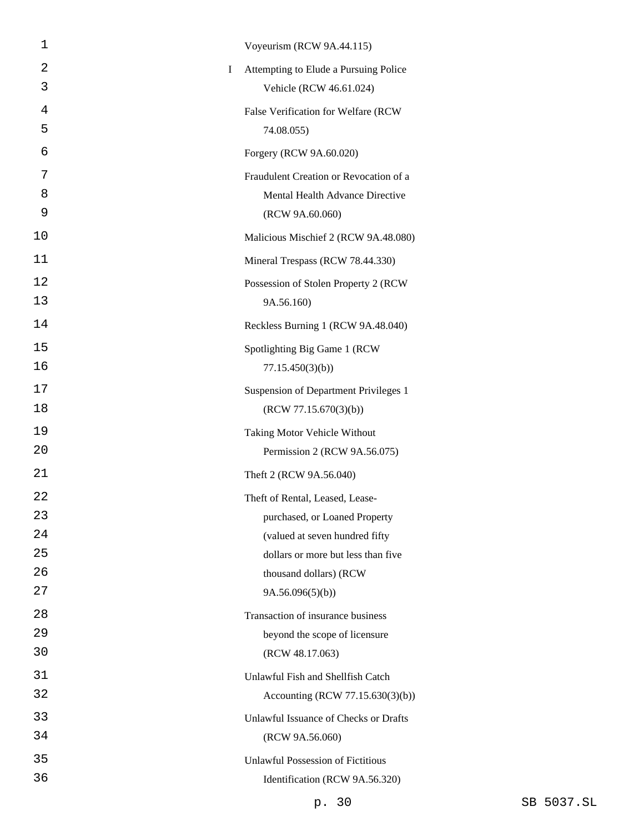| $\mathbf 1$ | Voyeurism (RCW 9A.44.115)                  |
|-------------|--------------------------------------------|
| 2           | Attempting to Elude a Pursuing Police<br>I |
| 3           | Vehicle (RCW 46.61.024)                    |
| 4           | False Verification for Welfare (RCW        |
| 5           | 74.08.055)                                 |
| 6           | Forgery (RCW 9A.60.020)                    |
| 7           | Fraudulent Creation or Revocation of a     |
| 8           | Mental Health Advance Directive            |
| 9           | (RCW 9A.60.060)                            |
| 10          | Malicious Mischief 2 (RCW 9A.48.080)       |
| 11          | Mineral Trespass (RCW 78.44.330)           |
| 12          | Possession of Stolen Property 2 (RCW       |
| 13          | 9A.56.160)                                 |
| 14          | Reckless Burning 1 (RCW 9A.48.040)         |
| 15          | Spotlighting Big Game 1 (RCW               |
| 16          | 77.15.450(3)(b)                            |
| 17          | Suspension of Department Privileges 1      |
| 18          | (RCW 77.15.670(3)(b))                      |
| 19          | Taking Motor Vehicle Without               |
| 20          | Permission 2 (RCW 9A.56.075)               |
| 21          | Theft 2 (RCW 9A.56.040)                    |
| 22          | Theft of Rental, Leased, Lease-            |
| 23          | purchased, or Loaned Property              |
| 24          | (valued at seven hundred fifty             |
| 25          | dollars or more but less than five         |
| 26          | thousand dollars) (RCW                     |
| 27          | 9A.56.096(5)(b)                            |
| 28          | Transaction of insurance business          |
| 29          | beyond the scope of licensure              |
| 30          | (RCW 48.17.063)                            |
| 31          | Unlawful Fish and Shellfish Catch          |
| 32          | Accounting (RCW 77.15.630(3)(b))           |
| 33          | Unlawful Issuance of Checks or Drafts      |
| 34          | (RCW 9A.56.060)                            |
| 35          | <b>Unlawful Possession of Fictitious</b>   |
| 36          | Identification (RCW 9A.56.320)             |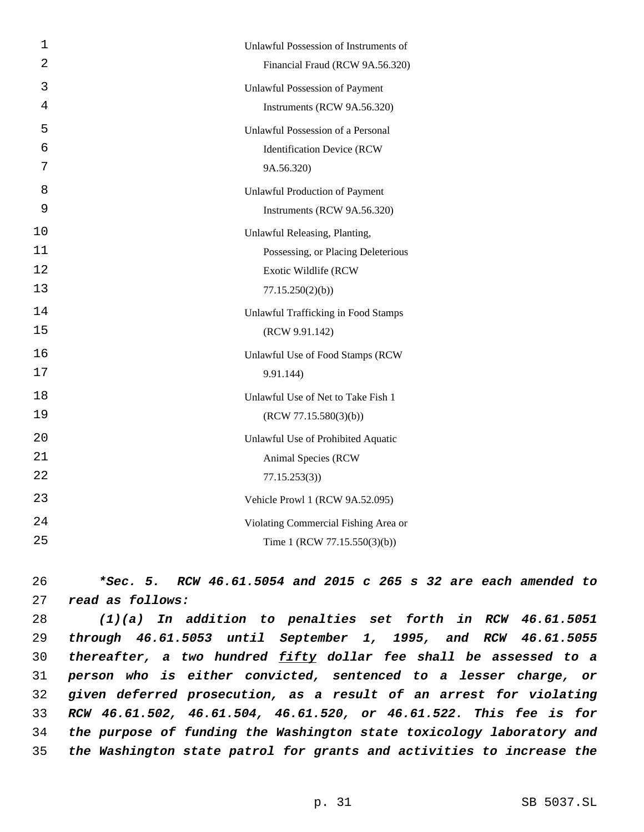| $\mathbf 1$    | Unlawful Possession of Instruments of |
|----------------|---------------------------------------|
| $\overline{2}$ | Financial Fraud (RCW 9A.56.320)       |
| 3              | <b>Unlawful Possession of Payment</b> |
| 4              | Instruments (RCW 9A.56.320)           |
| 5              | Unlawful Possession of a Personal     |
| 6              | <b>Identification Device (RCW</b>     |
| 7              | 9A.56.320)                            |
| 8              | <b>Unlawful Production of Payment</b> |
| 9              | Instruments (RCW 9A.56.320)           |
| 10             | Unlawful Releasing, Planting,         |
| 11             | Possessing, or Placing Deleterious    |
| 12             | Exotic Wildlife (RCW                  |
| 13             | 77.15.250(2)(b)                       |
| 14             | Unlawful Trafficking in Food Stamps   |
| 15             | (RCW 9.91.142)                        |
| 16             | Unlawful Use of Food Stamps (RCW      |
| 17             | 9.91.144)                             |
| 18             | Unlawful Use of Net to Take Fish 1    |
| 19             | (RCW 77.15.580(3)(b))                 |
| 20             | Unlawful Use of Prohibited Aquatic    |
| 21             | Animal Species (RCW                   |
| 22             | 77.15.253(3)                          |
| 23             | Vehicle Prowl 1 (RCW 9A.52.095)       |
| 24             | Violating Commercial Fishing Area or  |
| 25             | Time 1 (RCW 77.15.550(3)(b))          |

26 *\*Sec. 5. RCW 46.61.5054 and 2015 c 265 s 32 are each amended to* 27 *read as follows:*

 *(1)(a) In addition to penalties set forth in RCW 46.61.5051 through 46.61.5053 until September 1, 1995, and RCW 46.61.5055 thereafter, a two hundred fifty dollar fee shall be assessed to a person who is either convicted, sentenced to a lesser charge, or given deferred prosecution, as a result of an arrest for violating RCW 46.61.502, 46.61.504, 46.61.520, or 46.61.522. This fee is for the purpose of funding the Washington state toxicology laboratory and the Washington state patrol for grants and activities to increase the*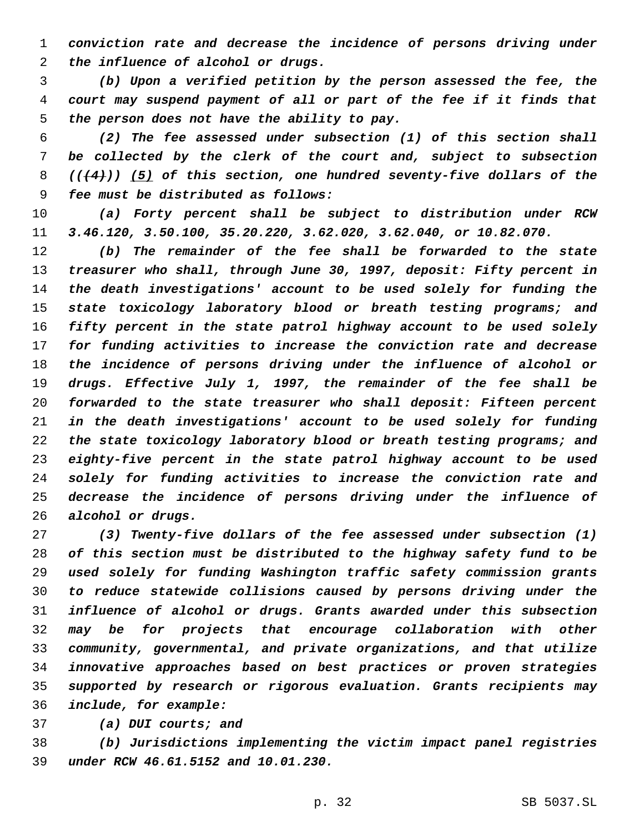*conviction rate and decrease the incidence of persons driving under the influence of alcohol or drugs.*

 *(b) Upon a verified petition by the person assessed the fee, the court may suspend payment of all or part of the fee if it finds that the person does not have the ability to pay.*

 *(2) The fee assessed under subsection (1) of this section shall be collected by the clerk of the court and, subject to subsection (((4))) (5) of this section, one hundred seventy-five dollars of the fee must be distributed as follows:*

 *(a) Forty percent shall be subject to distribution under RCW 3.46.120, 3.50.100, 35.20.220, 3.62.020, 3.62.040, or 10.82.070.*

 *(b) The remainder of the fee shall be forwarded to the state treasurer who shall, through June 30, 1997, deposit: Fifty percent in the death investigations' account to be used solely for funding the state toxicology laboratory blood or breath testing programs; and fifty percent in the state patrol highway account to be used solely for funding activities to increase the conviction rate and decrease the incidence of persons driving under the influence of alcohol or drugs. Effective July 1, 1997, the remainder of the fee shall be forwarded to the state treasurer who shall deposit: Fifteen percent in the death investigations' account to be used solely for funding the state toxicology laboratory blood or breath testing programs; and eighty-five percent in the state patrol highway account to be used solely for funding activities to increase the conviction rate and decrease the incidence of persons driving under the influence of alcohol or drugs.*

 *(3) Twenty-five dollars of the fee assessed under subsection (1) of this section must be distributed to the highway safety fund to be used solely for funding Washington traffic safety commission grants to reduce statewide collisions caused by persons driving under the influence of alcohol or drugs. Grants awarded under this subsection may be for projects that encourage collaboration with other community, governmental, and private organizations, and that utilize innovative approaches based on best practices or proven strategies supported by research or rigorous evaluation. Grants recipients may include, for example:*

*(a) DUI courts; and*

 *(b) Jurisdictions implementing the victim impact panel registries under RCW 46.61.5152 and 10.01.230.*